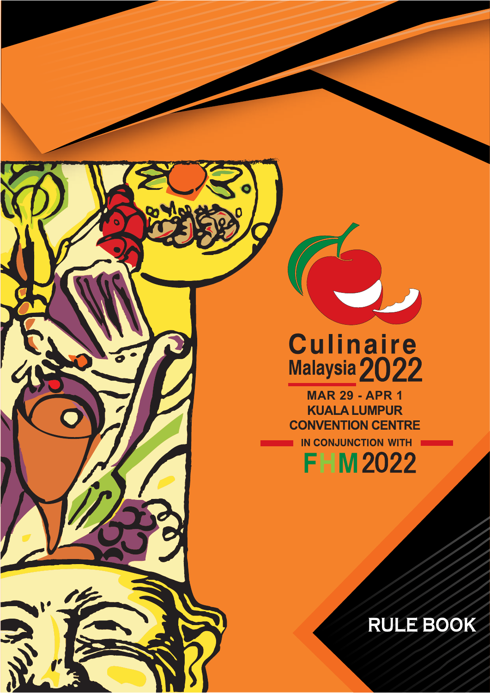

# Culinaire<br>Malaysia 2022

**MAR 29 - APR 1CONVENTION CENTRE** IN CONJUNCTION WITH

**FHM2022** 

**RULE BOOK**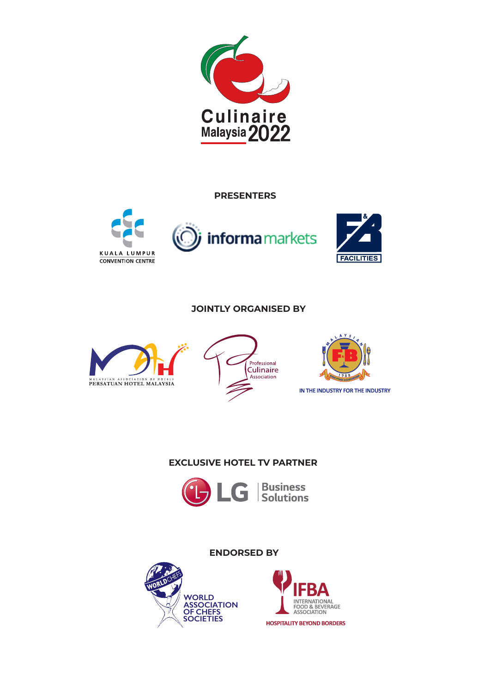

**PRESENTERS**







# **JOINTLY ORGANISED BY**







# **EXCLUSIVE HOTEL TV PARTNER**





**SOCIETIES**

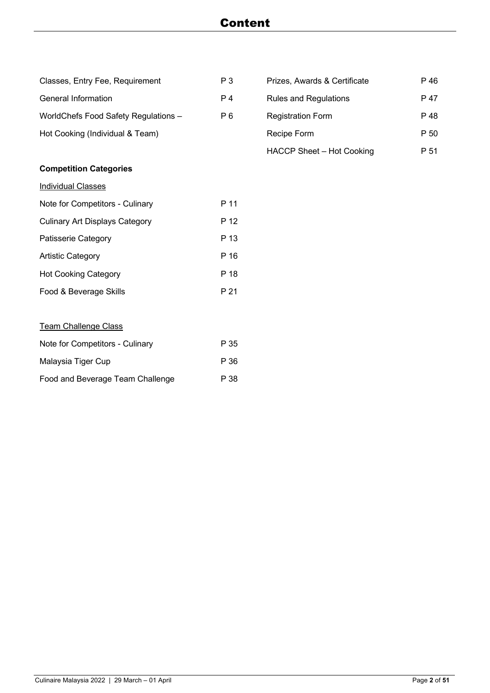# Content

| P <sub>3</sub> | Prizes, Awards & Certificate | P 46 |
|----------------|------------------------------|------|
| P <sub>4</sub> | <b>Rules and Regulations</b> | P 47 |
| P <sub>6</sub> | <b>Registration Form</b>     | P 48 |
|                | Recipe Form                  | P 50 |
|                | HACCP Sheet - Hot Cooking    | P 51 |
|                |                              |      |
|                |                              |      |
| P 11           |                              |      |
| P 12           |                              |      |
| P 13           |                              |      |
| P 16           |                              |      |
| P 18           |                              |      |
| P 21           |                              |      |
|                |                              |      |
|                |                              |      |
| P 35           |                              |      |
| P 36           |                              |      |
|                |                              |      |

Food and Beverage Team Challenge P 38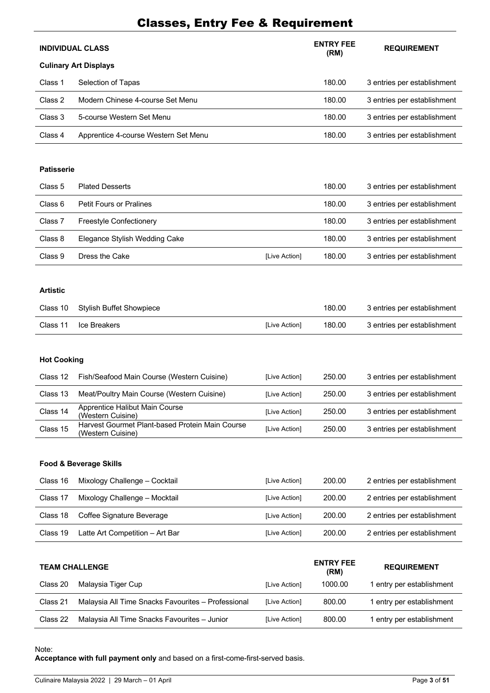# Classes, Entry Fee & Requirement

|         | <b>INDIVIDUAL CLASS</b>              | <b>ENTRY FEE</b><br>(RM) | <b>REQUIREMENT</b>          |
|---------|--------------------------------------|--------------------------|-----------------------------|
|         | <b>Culinary Art Displays</b>         |                          |                             |
| Class 1 | Selection of Tapas                   | 180.00                   | 3 entries per establishment |
| Class 2 | Modern Chinese 4-course Set Menu     | 180.00                   | 3 entries per establishment |
| Class 3 | 5-course Western Set Menu            | 180.00                   | 3 entries per establishment |
| Class 4 | Apprentice 4-course Western Set Menu | 180.00                   | 3 entries per establishment |

## **Patisserie**

| Class 5 | <b>Plated Desserts</b>         |               | 180.00 | 3 entries per establishment |
|---------|--------------------------------|---------------|--------|-----------------------------|
| Class 6 | <b>Petit Fours or Pralines</b> |               | 180.00 | 3 entries per establishment |
| Class 7 | <b>Freestyle Confectionery</b> |               | 180.00 | 3 entries per establishment |
| Class 8 | Elegance Stylish Wedding Cake  |               | 180.00 | 3 entries per establishment |
| Class 9 | Dress the Cake                 | [Live Action] | 180.00 | 3 entries per establishment |

## **Artistic**

|          | Class 10 Stylish Buffet Showpiece |                      | 180.00 | 3 entries per establishment |
|----------|-----------------------------------|----------------------|--------|-----------------------------|
| Class 11 | Ice Breakers                      | <b>ILive Action1</b> | 180.00 | 3 entries per establishment |

## **Hot Cooking**

| Class 12 | Fish/Seafood Main Course (Western Cuisine)                           | [Live Action] | 250.00 | 3 entries per establishment |
|----------|----------------------------------------------------------------------|---------------|--------|-----------------------------|
| Class 13 | Meat/Poultry Main Course (Western Cuisine)                           | [Live Action] | 250.00 | 3 entries per establishment |
| Class 14 | Apprentice Halibut Main Course<br>(Western Cuisine)                  | [Live Action] | 250.00 | 3 entries per establishment |
| Class 15 | Harvest Gourmet Plant-based Protein Main Course<br>(Western Cuisine) | [Live Action] | 250.00 | 3 entries per establishment |

## **Food & Beverage Skills**

| Class 16 | Mixology Challenge - Cocktail | [Live Action] | 200.00 | 2 entries per establishment |
|----------|-------------------------------|---------------|--------|-----------------------------|
| Class 17 | Mixology Challenge - Mocktail | [Live Action] | 200.00 | 2 entries per establishment |
|          |                               |               |        |                             |
| Class 18 | Coffee Signature Beverage     | [Live Action] | 200.00 | 2 entries per establishment |

|          | <b>TEAM CHALLENGE</b>                              |               | <b>ENTRY FEE</b><br>(RM) | <b>REQUIREMENT</b>        |
|----------|----------------------------------------------------|---------------|--------------------------|---------------------------|
| Class 20 | Malaysia Tiger Cup                                 | [Live Action] | 1000.00                  | l entry per establishment |
| Class 21 | Malaysia All Time Snacks Favourites - Professional | [Live Action] | 800.00                   | 1 entry per establishment |
| Class 22 | Malaysia All Time Snacks Favourites - Junior       | [Live Action] | 800.00                   | entry per establishment   |

#### Note:

**Acceptance with full payment only** and based on a first-come-first-served basis.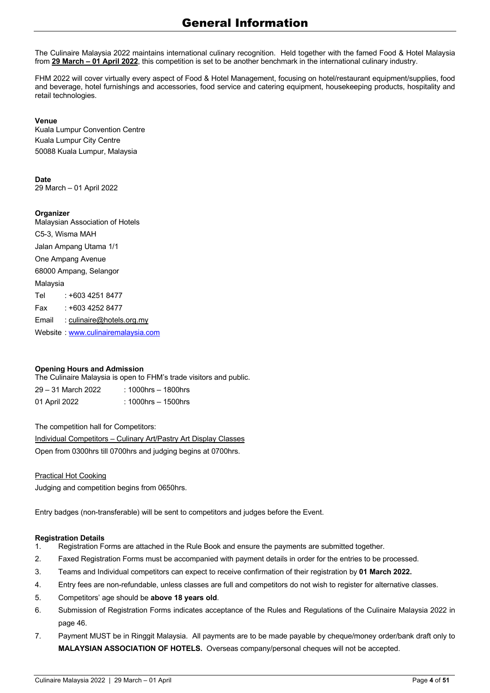The Culinaire Malaysia 2022 maintains international culinary recognition. Held together with the famed Food & Hotel Malaysia from **29 March – 01 April 2022**, this competition is set to be another benchmark in the international culinary industry.

FHM 2022 will cover virtually every aspect of Food & Hotel Management, focusing on hotel/restaurant equipment/supplies, food and beverage, hotel furnishings and accessories, food service and catering equipment, housekeeping products, hospitality and retail technologies.

#### **Venue**

Kuala Lumpur Convention Centre Kuala Lumpur City Centre 50088 Kuala Lumpur, Malaysia

#### **Date**

29 March — 01 April 2022

#### **Organizer**

Malaysian Association of Hotels C5-3, Wisma MAH Jalan Ampang Utama 1/1 One Ampang Avenue 68000 Ampang, Selangor Malaysia Tel : +603 4251 8477 Fax : +603 4252 8477 Email : culinaire@hotels.org.my Website : www.culinairemalaysia.com

#### **Opening Hours and Admission**

The Culinaire Malaysia is open to FHM's trade visitors and public.

29 — 31 March 2022 : 1000hrs — 1800hrs 01 April 2022 : 1000hrs - 1500hrs

The competition hall for Competitors:

Individual Competitors — Culinary Art/Pastry Art Display Classes Open from 0300hrs till 0700hrs and judging begins at 0700hrs.

#### Practical Hot Cooking

Judging and competition begins from 0650hrs.

Entry badges (non-transferable) will be sent to competitors and judges before the Event.

#### **Registration Details**

- 1. Registration Forms are attached in the Rule Book and ensure the payments are submitted together.
- 2. Faxed Registration Forms must be accompanied with payment details in order for the entries to be processed.
- 3. Teams and Individual competitors can expect to receive confirmation of their registration by **01 March 2022.**
- 4. Entry fees are non-refundable, unless classes are full and competitors do not wish to register for alternative classes.
- 5. Competitors' age should be **above 18 years old**.
- 6. Submission of Registration Forms indicates acceptance of the Rules and Regulations of the Culinaire Malaysia 2022 in page 46.
- 7. Payment MUST be in Ringgit Malaysia. All payments are to be made payable by cheque/money order/bank draft only to **MALAYSIAN ASSOCIATION OF HOTELS.** Overseas company/personal cheques will not be accepted.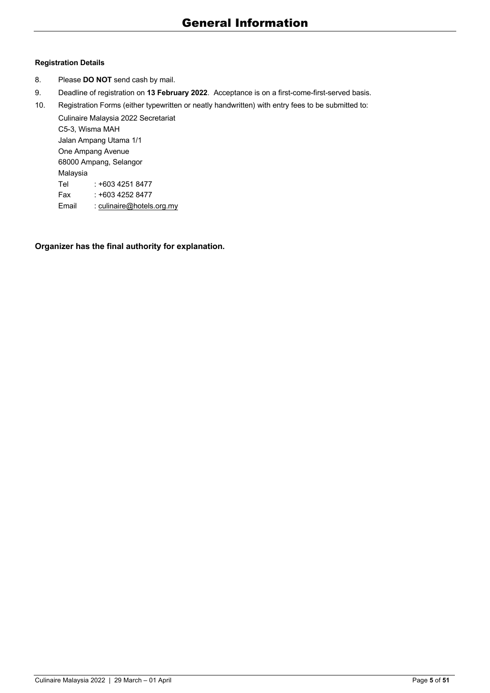## **Registration Details**

- 8. Please **DO NOT** send cash by mail.
- 9. Deadline of registration on **13 February 2022**. Acceptance is on a first-come-first-served basis.

10. Registration Forms (either typewritten or neatly handwritten) with entry fees to be submitted to:

Culinaire Malaysia 2022 Secretariat C5-3, Wisma MAH Jalan Ampang Utama 1/1 One Ampang Avenue 68000 Ampang, Selangor Malaysia Tel : +603 4251 8477 Fax : +603 4252 8477 Email : culinaire@hotels.org.my

**Organizer has the final authority for explanation.**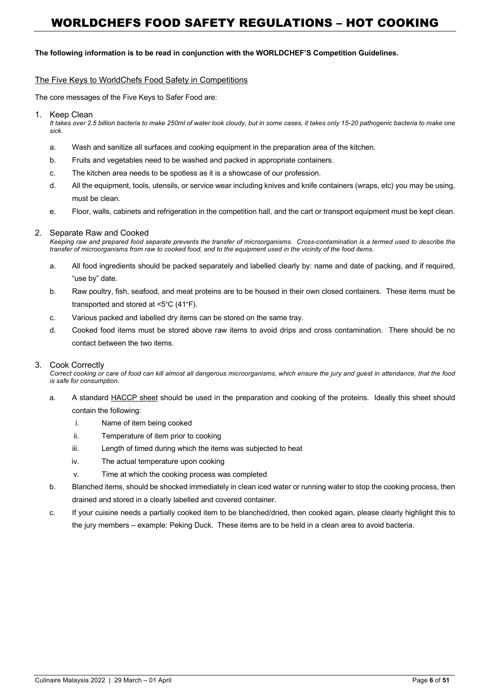#### **The following information is to be read in conjunction with the WORLDCHEF'S Competition Guidelines.**

#### The Five Keys to WorldChefs Food Safety in Competitions

The core messages of the Five Keys to Safer Food are:

1. Keep Clean

*It takes over 2.5 billion bacteria to make 250ml of water look cloudy, but in some cases, it takes only 15-20 pathogenic bacteria to make one sick.*

- a. Wash and sanitize all surfaces and cooking equipment in the preparation area of the kitchen.
- b. Fruits and vegetables need to be washed and packed in appropriate containers.
- c. The kitchen area needs to be spotless as it is a showcase of our profession.
- d. All the equipment, tools, utensils, or service wear including knives and knife containers (wraps, etc) you may be using, must be clean.
- e. Floor, walls, cabinets and refrigeration in the competition hall, and the cart or transport equipment must be kept clean.

#### 2. Separate Raw and Cooked

*Keeping raw and prepared food separate prevents the transfer of microorganisms. Cross-contamination is a termed used to describe the transfer of microorganisms from raw to cooked food, and to the equipment used in the vicinity of the food items.*

- a. All food ingredients should be packed separately and labelled clearly by: name and date of packing, and if required, "use by" date.
- b. Raw poultry, fish, seafood, and meat proteins are to be housed in their own closed containers. These items must be transported and stored at <5°C (41°F).
- c. Various packed and labelled dry items can be stored on the same tray.
- d. Cooked food items must be stored above raw items to avoid drips and cross contamination. There should be no contact between the two items.

#### 3. Cook Correctly

*Correct cooking or care of food can kill almost all dangerous microorganisms, which ensure the jury and guest in attendance, that the food is safe for consumption.*

- a. A standard HACCP sheet should be used in the preparation and cooking of the proteins. Ideally this sheet should contain the following:
	- i. Name of item being cooked
	- ii. Temperature of item prior to cooking
	- iii. Length of timed during which the items was subjected to heat
	- iv. The actual temperature upon cooking
	- v. Time at which the cooking process was completed
- b. Blanched items, should be shocked immediately in clean iced water or running water to stop the cooking process, then drained and stored in a clearly labelled and covered container.
- c. If your cuisine needs a partially cooked item to be blanched/dried, then cooked again, please clearly highlight this to the jury members — example: Peking Duck. These items are to be held in a clean area to avoid bacteria.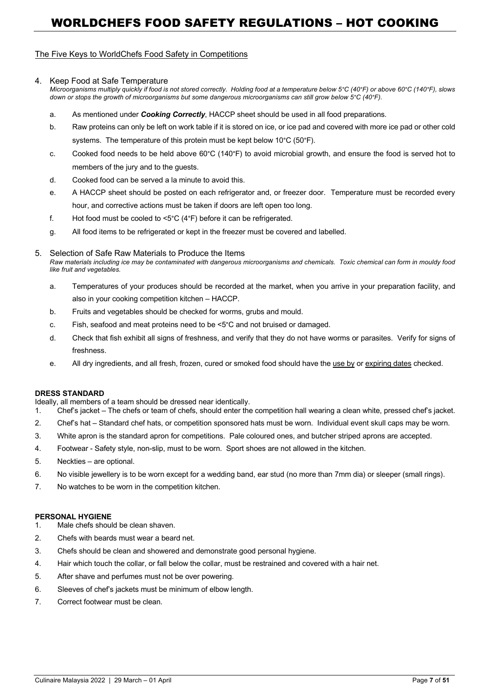#### The Five Keys to WorldChefs Food Safety in Competitions

#### 4. Keep Food at Safe Temperature

*Microorganisms multiply quickly if food is not stored correctly. Holding food at a temperature below 5°C (40°F) or above 60°C (140°F), slows down or stops the growth of microorganisms but some dangerous microorganisms can still grow below 5°C (40°F).*

- a. As mentioned under *Cooking Correctly*, HACCP sheet should be used in all food preparations.
- b. Raw proteins can only be left on work table if it is stored on ice, or ice pad and covered with more ice pad or other cold systems. The temperature of this protein must be kept below 10°C (50°F).
- c. Cooked food needs to be held above 60°C (140°F) to avoid microbial growth, and ensure the food is served hot to members of the jury and to the guests.
- d. Cooked food can be served a la minute to avoid this.
- e. A HACCP sheet should be posted on each refrigerator and, or freezer door. Temperature must be recorded every hour, and corrective actions must be taken if doors are left open too long.
- f. Hot food must be cooled to <5°C (4°F) before it can be refrigerated.
- g. All food items to be refrigerated or kept in the freezer must be covered and labelled.

#### 5. Selection of Safe Raw Materials to Produce the Items

*Raw materials including ice may be contaminated with dangerous microorganisms and chemicals. Toxic chemical can form in mouldy food like fruit and vegetables.*

- a. Temperatures of your produces should be recorded at the market, when you arrive in your preparation facility, and also in your cooking competition kitchen — HACCP.
- b. Fruits and vegetables should be checked for worms, grubs and mould.
- c. Fish, seafood and meat proteins need to be <5°C and not bruised or damaged.
- d. Check that fish exhibit all signs of freshness, and verify that they do not have worms or parasites. Verify for signs of freshness.
- e. All dry ingredients, and all fresh, frozen, cured or smoked food should have the use by or expiring dates checked.

#### **DRESS STANDARD**

Ideally, all members of a team should be dressed near identically.

- 1. Chef's jacket The chefs or team of chefs, should enter the competition hall wearing a clean white, pressed chef's jacket.
- 2. Chef's hat Standard chef hats, or competition sponsored hats must be worn. Individual event skull caps may be worn.
- 3. White apron is the standard apron for competitions. Pale coloured ones, and butcher striped aprons are accepted.
- 4. Footwear Safety style, non-slip, must to be worn. Sport shoes are not allowed in the kitchen.
- 5. Neckties are optional.
- 6. No visible jewellery is to be worn except for a wedding band, ear stud (no more than 7mm dia) or sleeper (small rings).
- 7. No watches to be worn in the competition kitchen.

#### **PERSONAL HYGIENE**

- 1. Male chefs should be clean shaven.
- 2. Chefs with beards must wear a beard net.
- 3. Chefs should be clean and showered and demonstrate good personal hygiene.
- 4. Hair which touch the collar, or fall below the collar, must be restrained and covered with a hair net.
- 5. After shave and perfumes must not be over powering.
- 6. Sleeves of chef's jackets must be minimum of elbow length.
- 7. Correct footwear must be clean.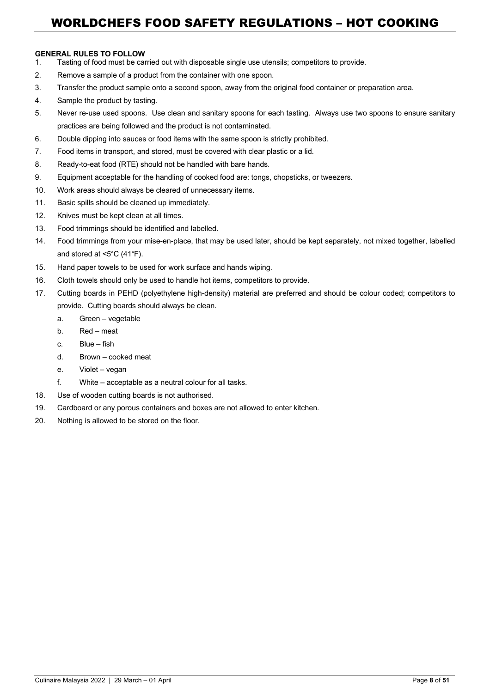#### **GENERAL RULES TO FOLLOW**

- 1. Tasting of food must be carried out with disposable single use utensils; competitors to provide.
- 2. Remove a sample of a product from the container with one spoon.
- 3. Transfer the product sample onto a second spoon, away from the original food container or preparation area.
- 4. Sample the product by tasting.
- 5. Never re-use used spoons. Use clean and sanitary spoons for each tasting. Always use two spoons to ensure sanitary practices are being followed and the product is not contaminated.
- 6. Double dipping into sauces or food items with the same spoon is strictly prohibited.
- 7. Food items in transport, and stored, must be covered with clear plastic or a lid.
- 8. Ready-to-eat food (RTE) should not be handled with bare hands.
- 9. Equipment acceptable for the handling of cooked food are: tongs, chopsticks, or tweezers.
- 10. Work areas should always be cleared of unnecessary items.
- 11. Basic spills should be cleaned up immediately.
- 12. Knives must be kept clean at all times.
- 13. Food trimmings should be identified and labelled.
- 14. Food trimmings from your mise-en-place, that may be used later, should be kept separately, not mixed together, labelled and stored at <5°C (41°F).
- 15. Hand paper towels to be used for work surface and hands wiping.
- 16. Cloth towels should only be used to handle hot items, competitors to provide.
- 17. Cutting boards in PEHD (polyethylene high-density) material are preferred and should be colour coded; competitors to provide. Cutting boards should always be clean.
	- a. Green vegetable
	- b. Red meat
	- c. Blue fish
	- d. Brown cooked meat
	- e. Violet vegan
	- f. White acceptable as a neutral colour for all tasks.
- 18. Use of wooden cutting boards is not authorised.
- 19. Cardboard or any porous containers and boxes are not allowed to enter kitchen.
- 20. Nothing is allowed to be stored on the floor.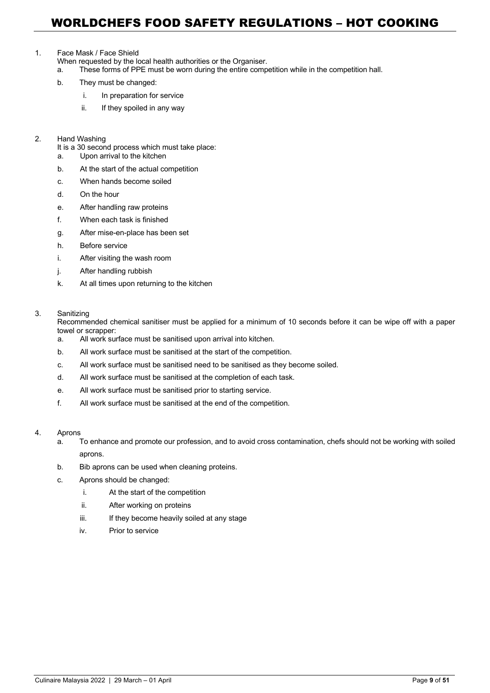#### 1. Face Mask / Face Shield

When requested by the local health authorities or the Organiser.

a. These forms of PPE must be worn during the entire competition while in the competition hall.

- b. They must be changed:
	- i. In preparation for service
	- ii. If they spoiled in any way
- 2. Hand Washing

It is a 30 second process which must take place:

- a. Upon arrival to the kitchen
- b. At the start of the actual competition
- c. When hands become soiled
- d. On the hour
- e. After handling raw proteins
- f. When each task is finished
- g. After mise-en-place has been set
- h. Before service
- i. After visiting the wash room
- j. After handling rubbish
- k. At all times upon returning to the kitchen

#### 3. Sanitizing

Recommended chemical sanitiser must be applied for a minimum of 10 seconds before it can be wipe off with a paper towel or scrapper:

- a. All work surface must be sanitised upon arrival into kitchen.
- b. All work surface must be sanitised at the start of the competition.
- c. All work surface must be sanitised need to be sanitised as they become soiled.
- d. All work surface must be sanitised at the completion of each task.
- e. All work surface must be sanitised prior to starting service.
- f. All work surface must be sanitised at the end of the competition.

#### 4. Aprons

- a. To enhance and promote our profession, and to avoid cross contamination, chefs should not be working with soiled aprons.
- b. Bib aprons can be used when cleaning proteins.
- c. Aprons should be changed:
	- i. At the start of the competition
	- ii. After working on proteins
	- iii. If they become heavily soiled at any stage
	- iv. Prior to service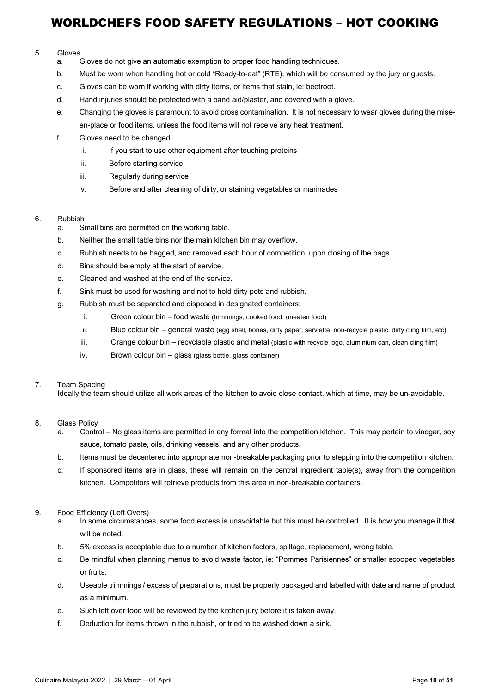#### 5. Gloves

- a. Gloves do not give an automatic exemption to proper food handling techniques.
- b. Must be worn when handling hot or cold "Ready-to-eat" (RTE), which will be consumed by the jury or guests.
- c. Gloves can be worn if working with dirty items, or items that stain, ie: beetroot.
- d. Hand injuries should be protected with a band aid/plaster, and covered with a glove.
- e. Changing the gloves is paramount to avoid cross contamination. It is not necessary to wear gloves during the miseen-place or food items, unless the food items will not receive any heat treatment.
- f. Gloves need to be changed:
	- i. If you start to use other equipment after touching proteins
	- ii. Before starting service
	- iii. Regularly during service
	- iv. Before and after cleaning of dirty, or staining vegetables or marinades

#### 6. Rubbish

- a. Small bins are permitted on the working table.
- b. Neither the small table bins nor the main kitchen bin may overflow.
- c. Rubbish needs to be bagged, and removed each hour of competition, upon closing of the bags.
- d. Bins should be empty at the start of service.
- e. Cleaned and washed at the end of the service.
- f. Sink must be used for washing and not to hold dirty pots and rubbish.
- g. Rubbish must be separated and disposed in designated containers:
	- i. Green colour bin food waste (trimmings, cooked food, uneaten food)
	- ii. Blue colour bin general waste (egg shell, bones, dirty paper, serviette, non-recycle plastic, dirty cling film, etc)
	- iii. Orange colour bin recyclable plastic and metal (plastic with recycle logo, aluminium can, clean cling film)
	- iv. Brown colour bin glass (glass bottle, glass container)

#### 7. Team Spacing

Ideally the team should utilize all work areas of the kitchen to avoid close contact, which at time, may be un-avoidable.

#### 8. Glass Policy

- a. Control No glass items are permitted in any format into the competition kitchen. This may pertain to vinegar, soy sauce, tomato paste, oils, drinking vessels, and any other products.
- b. Items must be decentered into appropriate non-breakable packaging prior to stepping into the competition kitchen.
- c. If sponsored items are in glass, these will remain on the central ingredient table(s), away from the competition kitchen. Competitors will retrieve products from this area in non-breakable containers.

#### 9. Food Efficiency (Left Overs)

- a. In some circumstances, some food excess is unavoidable but this must be controlled. It is how you manage it that will be noted.
- b. 5% excess is acceptable due to a number of kitchen factors, spillage, replacement, wrong table.
- c. Be mindful when planning menus to avoid waste factor, ie: "Pommes Parisiennes" or smaller scooped vegetables or fruits.
- d. Useable trimmings / excess of preparations, must be properly packaged and labelled with date and name of product as a minimum.
- e. Such left over food will be reviewed by the kitchen jury before it is taken away.
- f. Deduction for items thrown in the rubbish, or tried to be washed down a sink.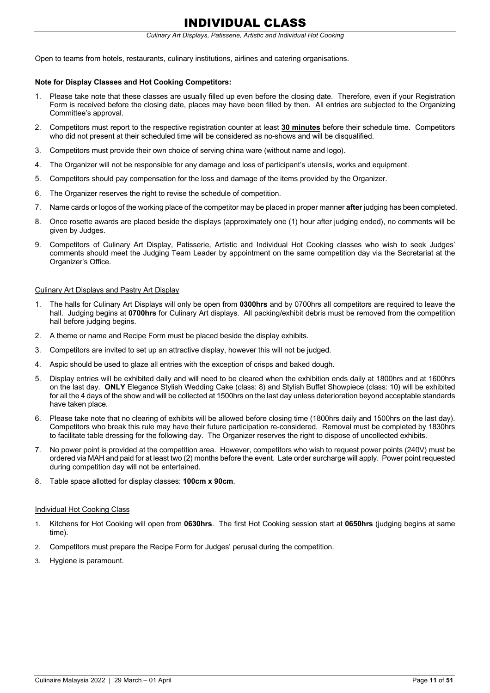# INDIVIDUAL CLASS

#### *Culinary Art Displays, Patisserie, Artistic and Individual Hot Cooking*

Open to teams from hotels, restaurants, culinary institutions, airlines and catering organisations.

#### **Note for Display Classes and Hot Cooking Competitors:**

- 1. Please take note that these classes are usually filled up even before the closing date. Therefore, even if your Registration Form is received before the closing date, places may have been filled by then. All entries are subjected to the Organizing Committee's approval.
- 2. Competitors must report to the respective registration counter at least **30 minutes** before their schedule time. Competitors who did not present at their scheduled time will be considered as no-shows and will be disqualified.
- 3. Competitors must provide their own choice of serving china ware (without name and logo).
- 4. The Organizer will not be responsible for any damage and loss of participant's utensils, works and equipment.
- 5. Competitors should pay compensation for the loss and damage of the items provided by the Organizer.
- 6. The Organizer reserves the right to revise the schedule of competition.
- 7. Name cards or logos of the working place of the competitor may be placed in proper manner **after** judging has been completed.
- 8. Once rosette awards are placed beside the displays (approximately one (1) hour after judging ended), no comments will be given by Judges.
- 9. Competitors of Culinary Art Display, Patisserie, Artistic and Individual Hot Cooking classes who wish to seek Judges' comments should meet the Judging Team Leader by appointment on the same competition day via the Secretariat at the Organizer's Office.

#### Culinary Art Displays and Pastry Art Display

- 1. The halls for Culinary Art Displays will only be open from **0300hrs** and by 0700hrs all competitors are required to leave the hall. Judging begins at **0700hrs** for Culinary Art displays. All packing/exhibit debris must be removed from the competition hall before judging begins.
- 2. A theme or name and Recipe Form must be placed beside the display exhibits.
- 3. Competitors are invited to set up an attractive display, however this will not be judged.
- 4. Aspic should be used to glaze all entries with the exception of crisps and baked dough.
- 5. Display entries will be exhibited daily and will need to be cleared when the exhibition ends daily at 1800hrs and at 1600hrs on the last day. **ONLY** Elegance Stylish Wedding Cake (class: 8) and Stylish Buffet Showpiece (class: 10) will be exhibited for all the 4 days of the show and will be collected at 1500hrs on the last day unless deterioration beyond acceptable standards have taken place.
- 6. Please take note that no clearing of exhibits will be allowed before closing time (1800hrs daily and 1500hrs on the last day). Competitors who break this rule may have their future participation re-considered. Removal must be completed by 1830hrs to facilitate table dressing for the following day. The Organizer reserves the right to dispose of uncollected exhibits.
- 7. No power point is provided at the competition area. However, competitors who wish to request power points (240V) must be ordered via MAH and paid for at least two (2) months before the event. Late order surcharge will apply. Power point requested during competition day will not be entertained.
- 8. Table space allotted for display classes: **100cm x 90cm**.

#### Individual Hot Cooking Class

- 1. Kitchens for Hot Cooking will open from **0630hrs**. The first Hot Cooking session start at **0650hrs** (judging begins at same time).
- 2. Competitors must prepare the Recipe Form for Judges' perusal during the competition.
- 3. Hygiene is paramount.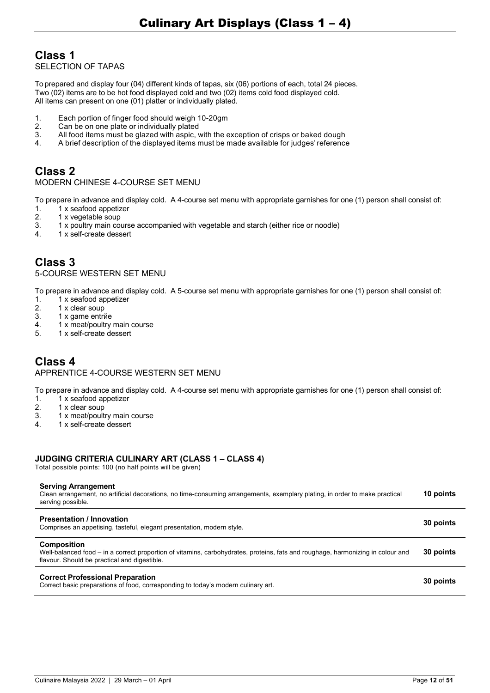# **Class 1**

SELECTION OF TAPAS

To prepared and display four (04) different kinds of tapas, six (06) portions of each, total 24 pieces. Two (02) items are to be hot food displayed cold and two (02) items cold food displayed cold. All items can present on one (01) platter or individually plated.

- 1. Each portion of finger food should weigh 10-20gm
- 2. Can be on one plate or individually plated<br>3. All food items must be glazed with aspic.
- 3. All food items must be glazed with aspic, with the exception of crisps or baked dough
- 4. A brief description of the displayed items must be made available for judges'reference

# **Class 2**

#### MODERN CHINESE 4-COURSE SET MENU

To prepare in advance and display cold. A 4-course set menu with appropriate garnishes for one (1) person shall consist of:

- 1. 1 x seafood appetizer<br>2. 1 x vegetable soup
- 1 x vegetable soup
- 3. 1 x poultry main course accompanied with vegetable and starch (either rice or noodle)<br>4. 1 x self-create dessert
- 4. 1 x self-create dessert

## **Class 3** 5-COURSE WESTERN SET MENU

To prepare in advance and display cold. A 5-course set menu with appropriate garnishes for one (1) person shall consist of:

- 1.  $1 \times$  seafood appetizer<br>2.  $1 \times$  clear soup
- 2. 1 x clear soup<br>3. 1 x game entri
- 1 x game entrñe
- 4. 1 x meat/poultry main course<br>5  $\sqrt{1}$  x self-create dessert
- 5. 1 x self-create dessert

# **Class 4**

## APPRENTICE 4-COURSE WESTERN SET MENU

To prepare in advance and display cold. A 4-course set menu with appropriate garnishes for one (1) person shall consist of:

- 1.  $1 \times$  seafood appetizer<br>2.  $1 \times$  clear soup
- 2. 1 x clear soup<br>3. 1 x meat/poult
- 1 x meat/poultry main course
- 4. 1 x self-create dessert

## **JUDGING CRITERIA CULINARY ART (CLASS 1 – CLASS 4)**

Total possible points: 100 (no half points will be given)

#### **Serving Arrangement**

| Clean arrangement, no artificial decorations, no time-consuming arrangements, exemplary plating, in order to make practical<br>serving possible.                                                      | 10 points |
|-------------------------------------------------------------------------------------------------------------------------------------------------------------------------------------------------------|-----------|
| <b>Presentation / Innovation</b><br>Comprises an appetising, tasteful, elegant presentation, modern style.                                                                                            | 30 points |
| <b>Composition</b><br>Well-balanced food – in a correct proportion of vitamins, carbohydrates, proteins, fats and roughage, harmonizing in colour and<br>flavour. Should be practical and digestible. | 30 points |
| <b>Correct Professional Preparation</b><br>Correct basic preparations of food, corresponding to today's modern culinary art.                                                                          | 30 points |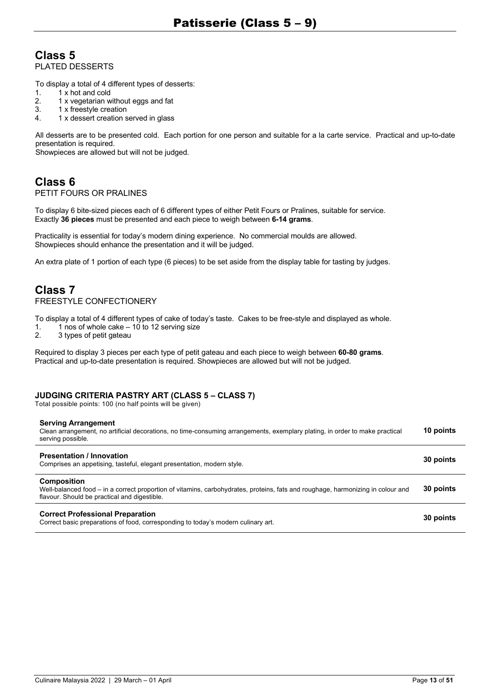## **Class 5** PLATED DESSERTS

To display a total of 4 different types of desserts:

- 1.  $1 \times$  hot and cold<br>2.  $1 \times$  vegetarian w
- 1 x vegetarian without eggs and fat
- 3. 1 x freestyle creation 4. 1 x dessert creation served in glass

All desserts are to be presented cold. Each portion for one person and suitable for a la carte service. Practical and up-to-date presentation is required.

Showpieces are allowed but will not be judged.

# **Class 6**

## PETIT FOURS OR PRALINES

To display 6 bite-sized pieces each of 6 different types of either Petit Fours or Pralines, suitable for service. Exactly **36 pieces** must be presented and each piece to weigh between **6-14 grams**.

Practicality is essential for today's modern dining experience. No commercial moulds are allowed. Showpieces should enhance the presentation and it will be judged.

An extra plate of 1 portion of each type (6 pieces) to be set aside from the display table for tasting by judges.

# **Class 7**

## FREESTYLE CONFECTIONERY

To display a total of 4 different types of cake of today's taste. Cakes to be free-style and displayed as whole.

- 1. 1 nos of whole cake 10 to 12 serving size<br>2. 3 types of petit gateau
- 3 types of petit gateau

Required to display 3 pieces per each type of petit gateau and each piece to weigh between **60-80 grams**. Practical and up-to-date presentation is required. Showpieces are allowed but will not be judged.

#### **JUDGING CRITERIA PASTRY ART (CLASS 5 – CLASS 7)**

Total possible points: 100 (no half points will be given)

#### **Serving Arrangement**

| Clean arrangement, no artificial decorations, no time-consuming arrangements, exemplary plating, in order to make practical<br>serving possible. | 10 points |
|--------------------------------------------------------------------------------------------------------------------------------------------------|-----------|
| <b>Presentation / Innovation</b><br>Comprises an appetising, tasteful, elegant presentation, modern style.                                       | 30 points |
| Composition                                                                                                                                      |           |

Well-balanced food — in a correct proportion of vitamins, carbohydrates, proteins, fats and roughage, harmonizing in colour and flavour. Should be practical and digestible. **30 points**

#### **Correct Professional Preparation**

**Correct Professional Preparation**<br>Correct basic preparations of food, corresponding to today's modern culinary art.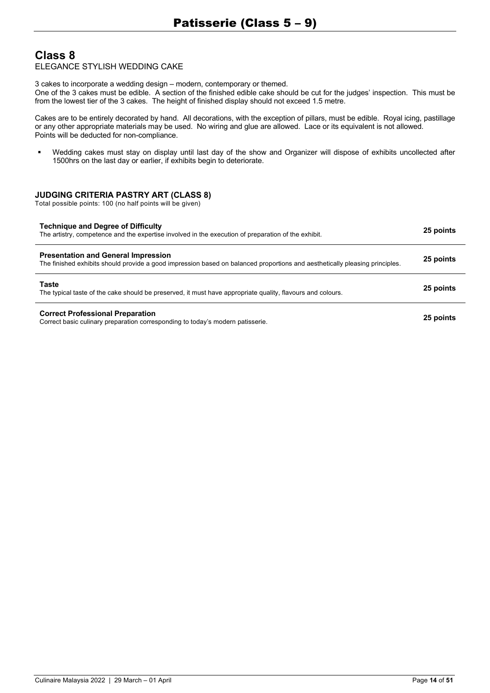# **Class 8**

## ELEGANCE STYLISH WEDDING CAKE

3 cakes to incorporate a wedding design — modern, contemporary or themed.

One of the 3 cakes must be edible. A section of the finished edible cake should be cut for the judges' inspection. This must be from the lowest tier of the 3 cakes. The height of finished display should not exceed 1.5 metre.

Cakes are to be entirely decorated by hand. All decorations, with the exception of pillars, must be edible. Royal icing, pastillage or any other appropriate materials may be used. No wiring and glue are allowed. Lace or its equivalent is not allowed. Points will be deducted for non-compliance.

§ Wedding cakes must stay on display until last day of the show and Organizer will dispose of exhibits uncollected after 1500hrs on the last day or earlier, if exhibits begin to deteriorate.

## **JUDGING CRITERIA PASTRY ART (CLASS 8)**

| <b>Technique and Degree of Difficulty</b><br>The artistry, competence and the expertise involved in the execution of preparation of the exhibit.                          | 25 points |
|---------------------------------------------------------------------------------------------------------------------------------------------------------------------------|-----------|
| <b>Presentation and General Impression</b><br>The finished exhibits should provide a good impression based on balanced proportions and aesthetically pleasing principles. | 25 points |
| Taste<br>The typical taste of the cake should be preserved, it must have appropriate quality, flavours and colours.                                                       | 25 points |
| <b>Correct Professional Preparation</b><br>Correct basic culinary preparation corresponding to today's modern patisserie.                                                 | 25 points |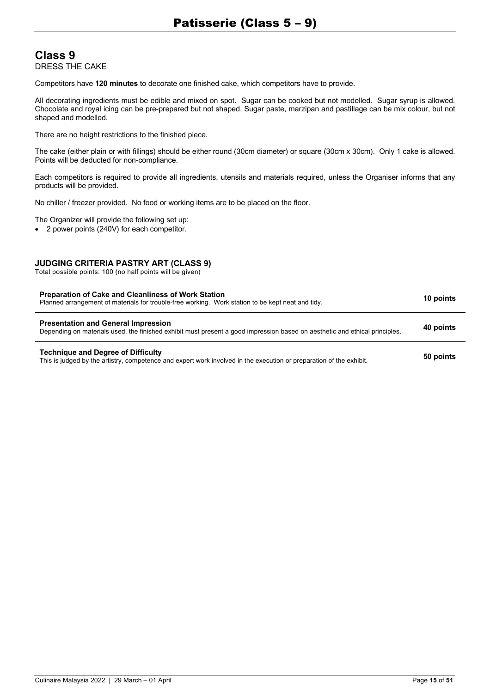## **Class 9** DRESS THE CAKE

Competitors have **120 minutes** to decorate one finished cake, which competitors have to provide.

All decorating ingredients must be edible and mixed on spot. Sugar can be cooked but not modelled. Sugar syrup is allowed. Chocolate and royal icing can be pre-prepared but not shaped. Sugar paste, marzipan and pastillage can be mix colour, but not shaped and modelled.

There are no height restrictions to the finished piece.

The cake (either plain or with fillings) should be either round (30cm diameter) or square (30cm x 30cm). Only 1 cake is allowed. Points will be deducted for non-compliance.

Each competitors is required to provide all ingredients, utensils and materials required, unless the Organiser informs that any products will be provided.

No chiller / freezer provided. No food or working items are to be placed on the floor.

The Organizer will provide the following set up:

• 2 power points (240V) for each competitor.

#### **JUDGING CRITERIA PASTRY ART (CLASS 9)**

| <b>Preparation of Cake and Cleanliness of Work Station</b><br>Planned arrangement of materials for trouble-free working. Work station to be kept neat and tidy.           | 10 points |
|---------------------------------------------------------------------------------------------------------------------------------------------------------------------------|-----------|
| <b>Presentation and General Impression</b><br>Depending on materials used, the finished exhibit must present a good impression based on aesthetic and ethical principles. | 40 points |
| <b>Technique and Degree of Difficulty</b><br>This is judged by the artistry, competence and expert work involved in the execution or preparation of the exhibit.          | 50 points |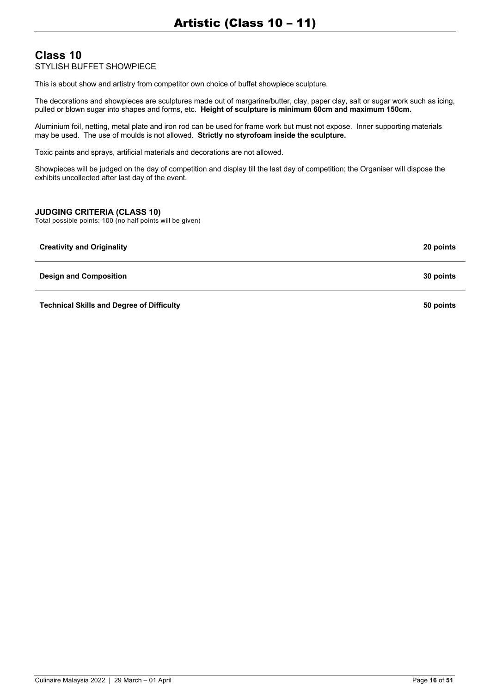## **Class 10** STYLISH BUFFET SHOWPIECE

This is about show and artistry from competitor own choice of buffet showpiece sculpture.

The decorations and showpieces are sculptures made out of margarine/butter, clay, paper clay, salt or sugar work such as icing, pulled or blown sugar into shapes and forms, etc. **Height of sculpture is minimum 60cm and maximum 150cm.**

Aluminium foil, netting, metal plate and iron rod can be used for frame work but must not expose. Inner supporting materials may be used. The use of moulds is not allowed. **Strictly no styrofoam inside the sculpture.**

Toxic paints and sprays, artificial materials and decorations are not allowed.

Showpieces will be judged on the day of competition and display till the last day of competition; the Organiser will dispose the exhibits uncollected after last day of the event.

## **JUDGING CRITERIA (CLASS 10)**

| <b>Creativity and Originality</b>                | 20 points |
|--------------------------------------------------|-----------|
| <b>Design and Composition</b>                    | 30 points |
| <b>Technical Skills and Degree of Difficulty</b> | 50 points |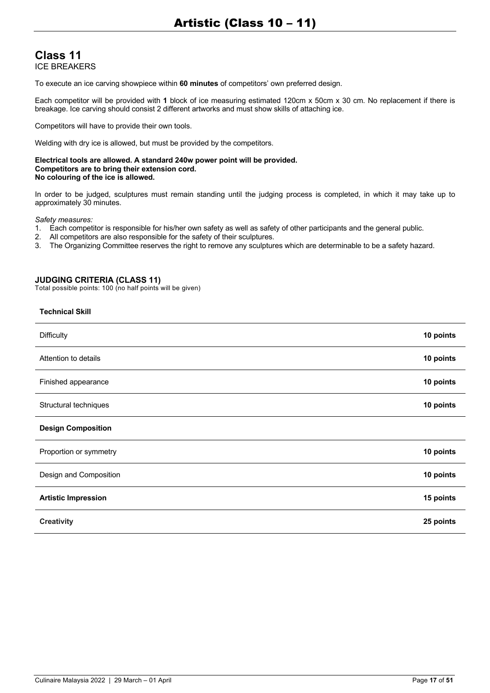## **Class 11** ICE BREAKERS

To execute an ice carving showpiece within **60 minutes** of competitors' own preferred design.

Each competitor will be provided with **1** block of ice measuring estimated 120cm x 50cm x 30 cm. No replacement if there is breakage. Ice carving should consist 2 different artworks and must show skills of attaching ice.

Competitors will have to provide their own tools.

Welding with dry ice is allowed, but must be provided by the competitors.

#### **Electrical tools are allowed. A standard 240w power point will be provided. Competitors are to bring their extension cord. No colouring of the ice is allowed.**

In order to be judged, sculptures must remain standing until the judging process is completed, in which it may take up to approximately 30 minutes.

*Safety measures:*

- 1. Each competitor is responsible for his/her own safety as well as safety of other participants and the general public.
- 2. All competitors are also responsible for the safety of their sculptures.
- 3. The Organizing Committee reserves the right to remove any sculptures which are determinable to be a safety hazard.

#### **JUDGING CRITERIA (CLASS 11)**

| <b>Technical Skill</b>     |           |
|----------------------------|-----------|
| <b>Difficulty</b>          | 10 points |
| Attention to details       | 10 points |
| Finished appearance        | 10 points |
| Structural techniques      | 10 points |
| <b>Design Composition</b>  |           |
| Proportion or symmetry     | 10 points |
| Design and Composition     | 10 points |
| <b>Artistic Impression</b> | 15 points |
| <b>Creativity</b>          | 25 points |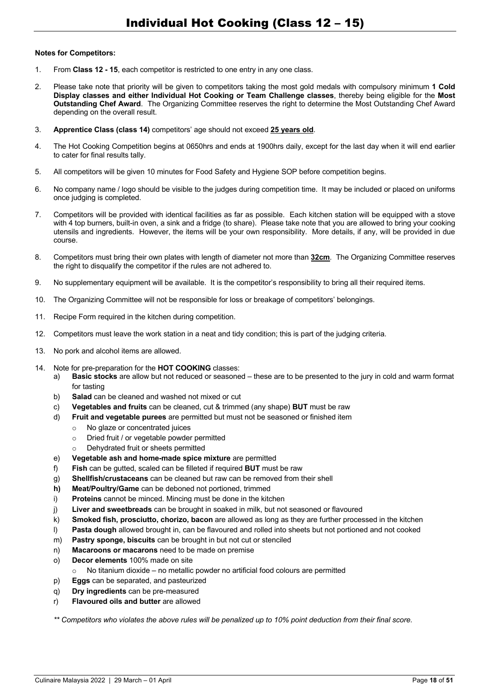#### **Notes for Competitors:**

- 1. From **Class 12 - 15**, each competitor is restricted to one entry in any one class.
- 2. Please take note that priority will be given to competitors taking the most gold medals with compulsory minimum **1 Cold Display classes and either Individual Hot Cooking or Team Challenge classes**, thereby being eligible for the **Most Outstanding Chef Award**. The Organizing Committee reserves the right to determine the Most Outstanding Chef Award depending on the overall result.
- 3. **Apprentice Class (class 14)** competitors' age should not exceed **25 years old**.
- 4. The Hot Cooking Competition begins at 0650hrs and ends at 1900hrs daily, except for the last day when it will end earlier to cater for final results tally.
- 5. All competitors will be given 10 minutes for Food Safety and Hygiene SOP before competition begins.
- 6. No company name / logo should be visible to the judges during competition time. It may be included or placed on uniforms once judging is completed.
- 7. Competitors will be provided with identical facilities as far as possible. Each kitchen station will be equipped with a stove with 4 top burners, built-in oven, a sink and a fridge (to share). Please take note that you are allowed to bring your cooking utensils and ingredients. However, the items will be your own responsibility. More details, if any, will be provided in due course.
- 8. Competitors must bring their own plates with length of diameter not more than **32cm**. The Organizing Committee reserves the right to disqualify the competitor if the rules are not adhered to.
- 9. No supplementary equipment will be available. It is the competitor's responsibility to bring all their required items.
- 10. The Organizing Committee will not be responsible for loss or breakage of competitors' belongings.
- 11. Recipe Form required in the kitchen during competition.
- 12. Competitors must leave the work station in a neat and tidy condition; this is part of the judging criteria.
- 13. No pork and alcohol items are allowed.
- 14. Note for pre-preparation for the **HOT COOKING** classes:
	- a) **Basic stocks** are allow but not reduced or seasoned these are to be presented to the jury in cold and warm format for tasting
	- b) **Salad** can be cleaned and washed not mixed or cut
	- c) **Vegetables and fruits** can be cleaned, cut & trimmed (any shape) **BUT** must be raw
	- d) **Fruit and vegetable purees** are permitted but must not be seasoned or finished item
		- o No glaze or concentrated juices
			- o Dried fruit / or vegetable powder permitted
			- o Dehydrated fruit or sheets permitted
	- e) **Vegetable ash and home-made spice mixture** are permitted
	- f) **Fish** can be gutted, scaled can be filleted if required **BUT** must be raw
	- g) **Shellfish/crustaceans** can be cleaned but raw can be removed from their shell
	- **h) Meat/Poultry/Game** can be deboned not portioned, trimmed
	- i) **Proteins** cannot be minced. Mincing must be done in the kitchen
	- j) **Liver and sweetbreads** can be brought in soaked in milk, but not seasoned or flavoured
	- k) **Smoked fish, prosciutto, chorizo, bacon** are allowed as long as they are further processed in the kitchen
	- l) **Pasta dough** allowed brought in, can be flavoured and rolled into sheets but not portioned and not cooked
	- m) **Pastry sponge, biscuits** can be brought in but not cut or stenciled
	- n) **Macaroons or macarons** need to be made on premise
	- o) **Decor elements** 100% made on site
		- o No titanium dioxide no metallic powder no artificial food colours are permitted
	- p) **Eggs** can be separated, and pasteurized
	- q) **Dry ingredients** can be pre-measured
	- r) **Flavoured oils and butter** are allowed

*\*\* Competitors who violates the above rules will be penalized up to 10% point deduction from their final score.*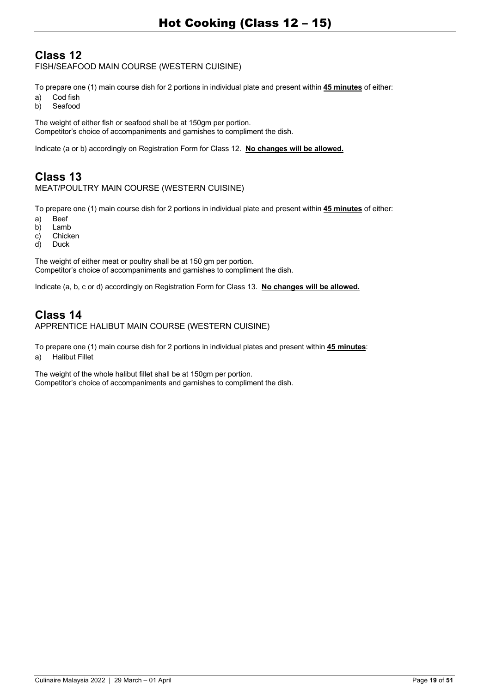# **Class 12**

FISH/SEAFOOD MAIN COURSE (WESTERN CUISINE)

To prepare one (1) main course dish for 2 portions in individual plate and present within **45 minutes** of either:

- a) Cod fish
- b) Seafood

The weight of either fish or seafood shall be at 150gm per portion. Competitor's choice of accompaniments and garnishes to compliment the dish.

Indicate (a or b) accordingly on Registration Form for Class 12. **No changes will be allowed.**

# **Class 13**

## MEAT/POULTRY MAIN COURSE (WESTERN CUISINE)

To prepare one (1) main course dish for 2 portions in individual plate and present within **45 minutes** of either:

- a) Beef
- b) Lamb
- c) Chicken
- d) Duck

The weight of either meat or poultry shall be at 150 gm per portion. Competitor's choice of accompaniments and garnishes to compliment the dish.

Indicate (a, b, c or d) accordingly on Registration Form for Class 13. **No changes will be allowed.**

## **Class 14** APPRENTICE HALIBUT MAIN COURSE (WESTERN CUISINE)

To prepare one (1) main course dish for 2 portions in individual plates and present within **45 minutes**: a) Halibut Fillet

The weight of the whole halibut fillet shall be at 150gm per portion. Competitor's choice of accompaniments and garnishes to compliment the dish.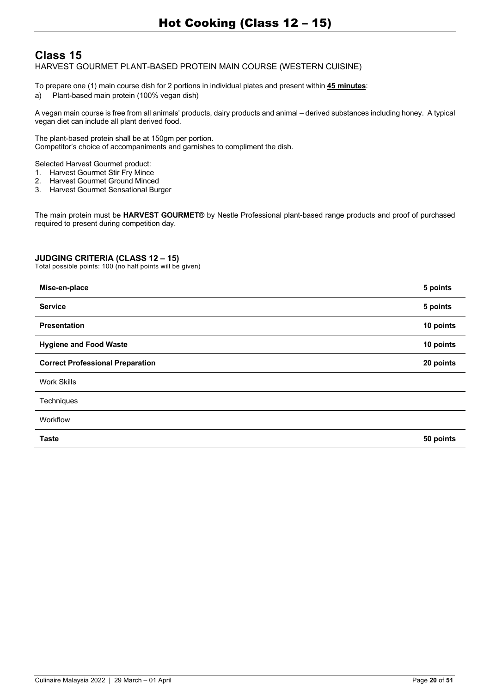# **Class 15**

HARVEST GOURMET PLANT-BASED PROTEIN MAIN COURSE (WESTERN CUISINE)

To prepare one (1) main course dish for 2 portions in individual plates and present within **45 minutes**: a) Plant-based main protein (100% vegan dish)

A vegan main course is free from all animals' products, dairy products and animal — derived substances including honey. A typical vegan diet can include all plant derived food.

The plant-based protein shall be at 150gm per portion. Competitor's choice of accompaniments and garnishes to compliment the dish.

Selected Harvest Gourmet product:

- 1. Harvest Gourmet Stir Fry Mince
- 2. Harvest Gourmet Ground Minced<br>3. Harvest Gourmet Sensational Bur
- 3. Harvest Gourmet Sensational Burger

The main protein must be **HARVEST GOURMET®** by Nestle Professional plant-based range products and proof of purchased required to present during competition day.

## **JUDGING CRITERIA (CLASS 12 – 15)**

| Mise-en-place                           | 5 points  |
|-----------------------------------------|-----------|
| <b>Service</b>                          | 5 points  |
| Presentation                            | 10 points |
| <b>Hygiene and Food Waste</b>           | 10 points |
| <b>Correct Professional Preparation</b> | 20 points |
| <b>Work Skills</b>                      |           |
| Techniques                              |           |
| Workflow                                |           |
| <b>Taste</b>                            | 50 points |
|                                         |           |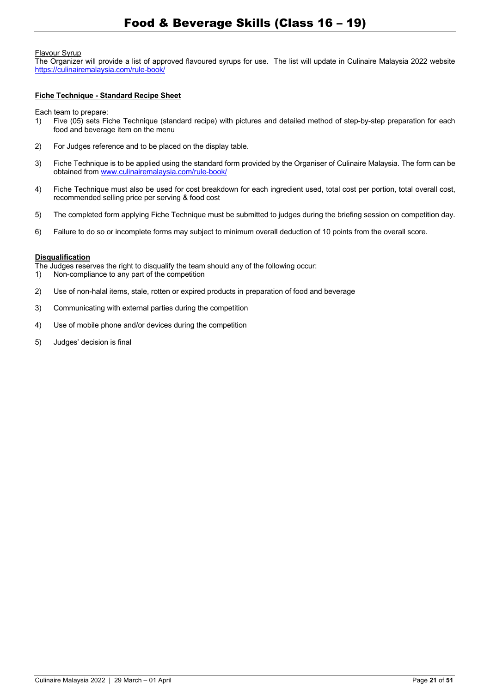#### Flavour Syrup

The Organizer will provide a list of approved flavoured syrups for use. The list will update in Culinaire Malaysia 2022 website https://culinairemalaysia.com/rule-book/

#### **Fiche Technique - Standard Recipe Sheet**

Each team to prepare:

- 1) Five (05) sets Fiche Technique (standard recipe) with pictures and detailed method of step-by-step preparation for each food and beverage item on the menu
- 2) For Judges reference and to be placed on the display table.
- 3) Fiche Technique is to be applied using the standard form provided by the Organiser of Culinaire Malaysia. The form can be obtained from www.culinairemalaysia.com/rule-book/
- 4) Fiche Technique must also be used for cost breakdown for each ingredient used, total cost per portion, total overall cost, recommended selling price per serving & food cost
- 5) The completed form applying Fiche Technique must be submitted to judges during the briefing session on competition day.
- 6) Failure to do so or incomplete forms may subject to minimum overall deduction of 10 points from the overall score.

#### **Disqualification**

The Judges reserves the right to disqualify the team should any of the following occur:

- 1) Non-compliance to any part of the competition
- 2) Use of non-halal items, stale, rotten or expired products in preparation of food and beverage
- 3) Communicating with external parties during the competition
- 4) Use of mobile phone and/or devices during the competition
- 5) Judges' decision is final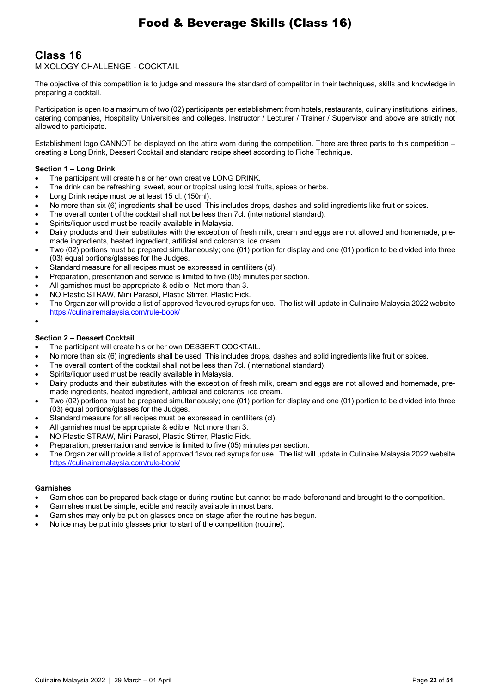# **Class 16**

MIXOLOGY CHALLENGE - COCKTAIL

The objective of this competition is to judge and measure the standard of competitor in their techniques, skills and knowledge in preparing a cocktail.

Participation is open to a maximum of two (02) participants per establishment from hotels, restaurants, culinary institutions, airlines, catering companies, Hospitality Universities and colleges. Instructor / Lecturer / Trainer / Supervisor and above are strictly not allowed to participate.

Establishment logo CANNOT be displayed on the attire worn during the competition. There are three parts to this competition – creating a Long Drink, Dessert Cocktail and standard recipe sheet according to Fiche Technique.

## **Section 1 – Long Drink**

- The participant will create his or her own creative LONG DRINK.
- The drink can be refreshing, sweet, sour or tropical using local fruits, spices or herbs.
- Long Drink recipe must be at least 15 cl. (150ml).
- No more than six (6) ingredients shall be used. This includes drops, dashes and solid ingredients like fruit or spices.
- The overall content of the cocktail shall not be less than 7cl. (international standard).
- Spirits/liquor used must be readily available in Malaysia.
- Dairy products and their substitutes with the exception of fresh milk, cream and eggs are not allowed and homemade, premade ingredients, heated ingredient, artificial and colorants, ice cream.
- Two (02) portions must be prepared simultaneously; one (01) portion for display and one (01) portion to be divided into three (03) equal portions/glasses for the Judges.
- Standard measure for all recipes must be expressed in centiliters (cl).
- Preparation, presentation and service is limited to five (05) minutes per section.
- All garnishes must be appropriate & edible. Not more than 3.
- NO Plastic STRAW, Mini Parasol, Plastic Stirrer, Plastic Pick.
- The Organizer will provide a list of approved flavoured syrups for use. The list will update in Culinaire Malaysia 2022 website https://culinairemalaysia.com/rule-book/

## **Section 2 – Dessert Cocktail**

•

- The participant will create his or her own DESSERT COCKTAIL.
- No more than six (6) ingredients shall be used. This includes drops, dashes and solid ingredients like fruit or spices.
- The overall content of the cocktail shall not be less than 7cl. (international standard).
- Spirits/liquor used must be readily available in Malaysia.
- Dairy products and their substitutes with the exception of fresh milk, cream and eggs are not allowed and homemade, premade ingredients, heated ingredient, artificial and colorants, ice cream.
- Two (02) portions must be prepared simultaneously; one (01) portion for display and one (01) portion to be divided into three (03) equal portions/glasses for the Judges.
- Standard measure for all recipes must be expressed in centiliters (cl).
- All garnishes must be appropriate & edible. Not more than 3.
- NO Plastic STRAW, Mini Parasol, Plastic Stirrer, Plastic Pick.
- Preparation, presentation and service is limited to five (05) minutes per section.
- The Organizer will provide a list of approved flavoured syrups for use. The list will update in Culinaire Malaysia 2022 website https://culinairemalaysia.com/rule-book/

#### **Garnishes**

- Garnishes can be prepared back stage or during routine but cannot be made beforehand and brought to the competition.
- Garnishes must be simple, edible and readily available in most bars.
- Garnishes may only be put on glasses once on stage after the routine has begun.
- No ice may be put into glasses prior to start of the competition (routine).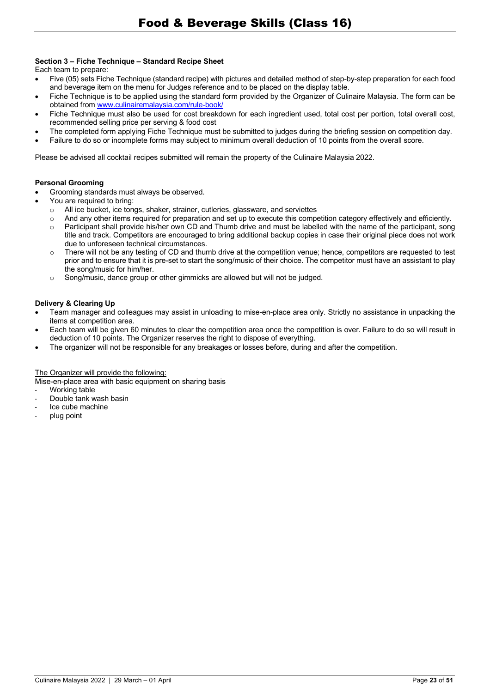## **Section 3 – Fiche Technique – Standard Recipe Sheet**

Each team to prepare:

- Five (05) sets Fiche Technique (standard recipe) with pictures and detailed method of step-by-step preparation for each food and beverage item on the menu for Judges reference and to be placed on the display table.
- Fiche Technique is to be applied using the standard form provided by the Organizer of Culinaire Malaysia. The form can be obtained from www.culinairemalaysia.com/rule-book/
- Fiche Technique must also be used for cost breakdown for each ingredient used, total cost per portion, total overall cost, recommended selling price per serving & food cost
- The completed form applying Fiche Technique must be submitted to judges during the briefing session on competition day.
- Failure to do so or incomplete forms may subject to minimum overall deduction of 10 points from the overall score.

Please be advised all cocktail recipes submitted will remain the property of the Culinaire Malaysia 2022.

#### **Personal Grooming**

- Grooming standards must always be observed.
- You are required to bring:
	- o All ice bucket, ice tongs, shaker, strainer, cutleries, glassware, and serviettes
	- o And any other items required for preparation and set up to execute this competition category effectively and efficiently.
	- o Participant shall provide his/her own CD and Thumb drive and must be labelled with the name of the participant, song title and track. Competitors are encouraged to bring additional backup copies in case their original piece does not work due to unforeseen technical circumstances.
	- $\circ$  There will not be any testing of CD and thumb drive at the competition venue; hence, competitors are requested to test prior and to ensure that it is pre-set to start the song/music of their choice. The competitor must have an assistant to play the song/music for him/her.
	- $\circ$  Song/music, dance group or other gimmicks are allowed but will not be judged.

#### **Delivery & Clearing Up**

- Team manager and colleagues may assist in unloading to mise-en-place area only. Strictly no assistance in unpacking the items at competition area.
- Each team will be given 60 minutes to clear the competition area once the competition is over. Failure to do so will result in deduction of 10 points. The Organizer reserves the right to dispose of everything.
- The organizer will not be responsible for any breakages or losses before, during and after the competition.

#### The Organizer will provide the following:

Mise-en-place area with basic equipment on sharing basis

- Working table
- Double tank wash basin
- Ice cube machine
- plug point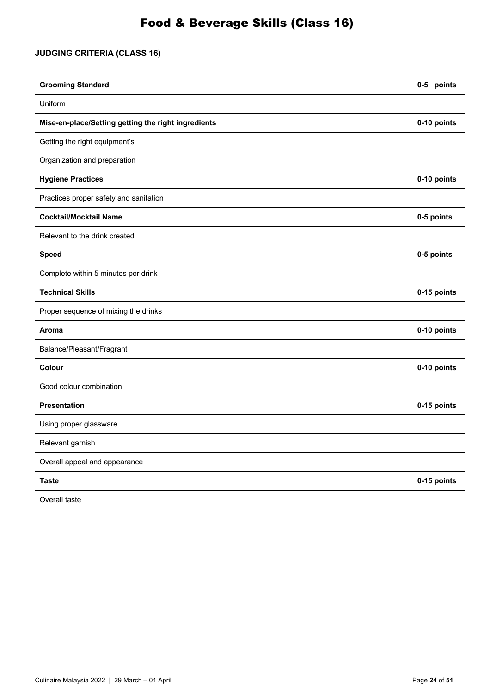# **JUDGING CRITERIA (CLASS 16)**

| <b>Grooming Standard</b>                            | 0-5 points  |
|-----------------------------------------------------|-------------|
| Uniform                                             |             |
| Mise-en-place/Setting getting the right ingredients | 0-10 points |
| Getting the right equipment's                       |             |
| Organization and preparation                        |             |
| <b>Hygiene Practices</b>                            | 0-10 points |
| Practices proper safety and sanitation              |             |
| <b>Cocktail/Mocktail Name</b>                       | 0-5 points  |
| Relevant to the drink created                       |             |
| <b>Speed</b>                                        | 0-5 points  |
| Complete within 5 minutes per drink                 |             |
| <b>Technical Skills</b>                             | 0-15 points |
| Proper sequence of mixing the drinks                |             |
| Aroma                                               | 0-10 points |
| Balance/Pleasant/Fragrant                           |             |
| Colour                                              | 0-10 points |
| Good colour combination                             |             |
| <b>Presentation</b>                                 | 0-15 points |
| Using proper glassware                              |             |
| Relevant garnish                                    |             |
| Overall appeal and appearance                       |             |
| <b>Taste</b>                                        | 0-15 points |
| Overall taste                                       |             |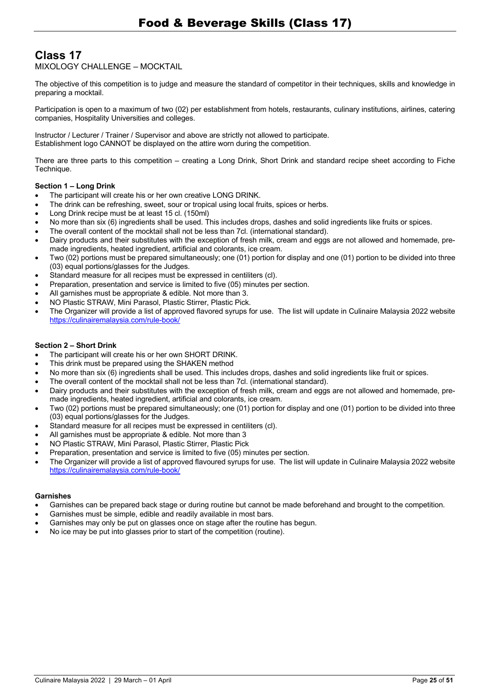# **Class 17**

MIXOLOGY CHALLENGE — MOCKTAIL

The objective of this competition is to judge and measure the standard of competitor in their techniques, skills and knowledge in preparing a mocktail.

Participation is open to a maximum of two (02) per establishment from hotels, restaurants, culinary institutions, airlines, catering companies, Hospitality Universities and colleges.

Instructor / Lecturer / Trainer / Supervisor and above are strictly not allowed to participate. Establishment logo CANNOT be displayed on the attire worn during the competition.

There are three parts to this competition — creating a Long Drink, Short Drink and standard recipe sheet according to Fiche Technique.

#### **Section 1 – Long Drink**

- The participant will create his or her own creative LONG DRINK.
- The drink can be refreshing, sweet, sour or tropical using local fruits, spices or herbs.
- Long Drink recipe must be at least 15 cl. (150ml)
- No more than six (6) ingredients shall be used. This includes drops, dashes and solid ingredients like fruits or spices.
- The overall content of the mocktail shall not be less than 7cl. (international standard).
- Dairy products and their substitutes with the exception of fresh milk, cream and eggs are not allowed and homemade, premade ingredients, heated ingredient, artificial and colorants, ice cream.
- Two (02) portions must be prepared simultaneously; one (01) portion for display and one (01) portion to be divided into three (03) equal portions/glasses for the Judges.
- Standard measure for all recipes must be expressed in centiliters (cl).
- Preparation, presentation and service is limited to five (05) minutes per section.
- All garnishes must be appropriate & edible. Not more than 3.
- NO Plastic STRAW, Mini Parasol, Plastic Stirrer, Plastic Pick.
- The Organizer will provide a list of approved flavored syrups for use. The list will update in Culinaire Malaysia 2022 website https://culinairemalaysia.com/rule-book/

#### **Section 2 – Short Drink**

- The participant will create his or her own SHORT DRINK.
- This drink must be prepared using the SHAKEN method
- No more than six (6) ingredients shall be used. This includes drops, dashes and solid ingredients like fruit or spices.
- The overall content of the mocktail shall not be less than 7cl. (international standard).
- Dairy products and their substitutes with the exception of fresh milk, cream and eggs are not allowed and homemade, premade ingredients, heated ingredient, artificial and colorants, ice cream.
- Two (02) portions must be prepared simultaneously; one (01) portion for display and one (01) portion to be divided into three (03) equal portions/glasses for the Judges.
- Standard measure for all recipes must be expressed in centiliters (cl).
- All garnishes must be appropriate & edible. Not more than 3
- NO Plastic STRAW, Mini Parasol, Plastic Stirrer, Plastic Pick
- Preparation, presentation and service is limited to five (05) minutes per section.
- The Organizer will provide a list of approved flavoured syrups for use. The list will update in Culinaire Malaysia 2022 website https://culinairemalaysia.com/rule-book/

#### **Garnishes**

- Garnishes can be prepared back stage or during routine but cannot be made beforehand and brought to the competition.
- Garnishes must be simple, edible and readily available in most bars.
- Garnishes may only be put on glasses once on stage after the routine has begun.
- No ice may be put into glasses prior to start of the competition (routine).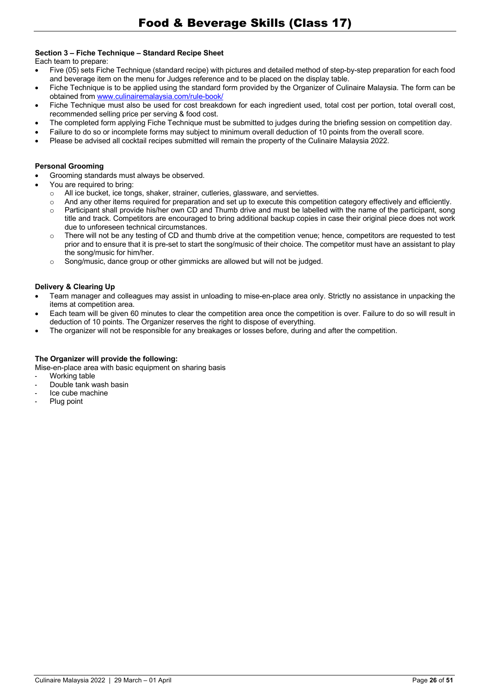## **Section 3 – Fiche Technique – Standard Recipe Sheet**

Each team to prepare:

- Five (05) sets Fiche Technique (standard recipe) with pictures and detailed method of step-by-step preparation for each food and beverage item on the menu for Judges reference and to be placed on the display table.
- Fiche Technique is to be applied using the standard form provided by the Organizer of Culinaire Malaysia. The form can be obtained from www.culinairemalaysia.com/rule-book/
- Fiche Technique must also be used for cost breakdown for each ingredient used, total cost per portion, total overall cost, recommended selling price per serving & food cost.
- The completed form applying Fiche Technique must be submitted to judges during the briefing session on competition day.
- Failure to do so or incomplete forms may subject to minimum overall deduction of 10 points from the overall score.
- Please be advised all cocktail recipes submitted will remain the property of the Culinaire Malaysia 2022.

#### **Personal Grooming**

- Grooming standards must always be observed.
- You are required to bring:
	- o All ice bucket, ice tongs, shaker, strainer, cutleries, glassware, and serviettes.
	- o And any other items required for preparation and set up to execute this competition category effectively and efficiently.
	- $\circ$  Participant shall provide his/her own CD and Thumb drive and must be labelled with the name of the participant, song title and track. Competitors are encouraged to bring additional backup copies in case their original piece does not work due to unforeseen technical circumstances.
	- $\circ$  There will not be any testing of CD and thumb drive at the competition venue; hence, competitors are requested to test prior and to ensure that it is pre-set to start the song/music of their choice. The competitor must have an assistant to play the song/music for him/her.
	- $\circ$  Song/music, dance group or other gimmicks are allowed but will not be judged.

#### **Delivery & Clearing Up**

- Team manager and colleagues may assist in unloading to mise-en-place area only. Strictly no assistance in unpacking the items at competition area.
- Each team will be given 60 minutes to clear the competition area once the competition is over. Failure to do so will result in deduction of 10 points. The Organizer reserves the right to dispose of everything.
- The organizer will not be responsible for any breakages or losses before, during and after the competition.

#### **The Organizer will provide the following:**

Mise-en-place area with basic equipment on sharing basis

- Working table
- Double tank wash basin
- Ice cube machine
- Plug point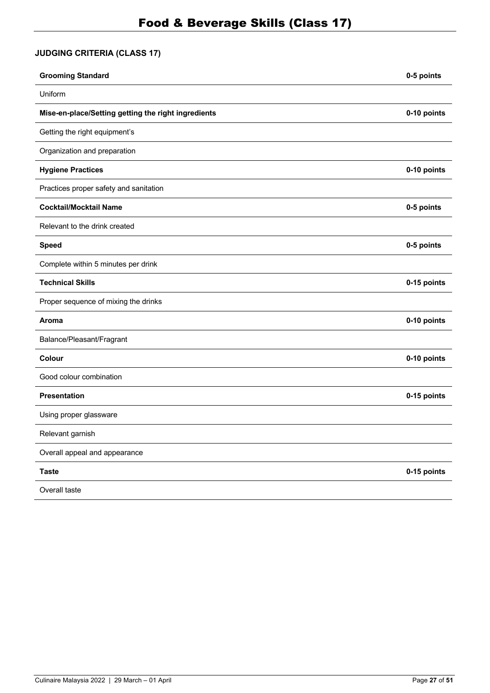# **JUDGING CRITERIA (CLASS 17)**

| <b>Grooming Standard</b>                            | 0-5 points  |
|-----------------------------------------------------|-------------|
| Uniform                                             |             |
| Mise-en-place/Setting getting the right ingredients | 0-10 points |
| Getting the right equipment's                       |             |
| Organization and preparation                        |             |
| <b>Hygiene Practices</b>                            | 0-10 points |
| Practices proper safety and sanitation              |             |
| <b>Cocktail/Mocktail Name</b>                       | 0-5 points  |
| Relevant to the drink created                       |             |
| <b>Speed</b>                                        | 0-5 points  |
| Complete within 5 minutes per drink                 |             |
| <b>Technical Skills</b>                             | 0-15 points |
| Proper sequence of mixing the drinks                |             |
| Aroma                                               | 0-10 points |
| Balance/Pleasant/Fragrant                           |             |
| Colour                                              | 0-10 points |
| Good colour combination                             |             |
| <b>Presentation</b>                                 | 0-15 points |
| Using proper glassware                              |             |
| Relevant garnish                                    |             |
| Overall appeal and appearance                       |             |
| <b>Taste</b>                                        | 0-15 points |
| Overall taste                                       |             |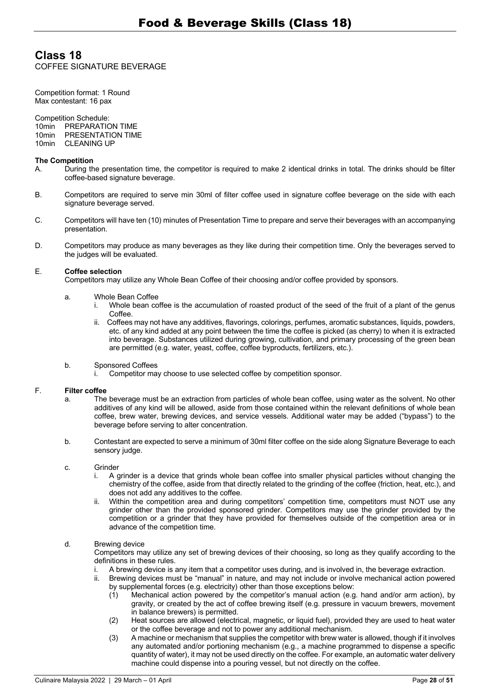# **Class 18**

COFFEE SIGNATURE BEVERAGE

Competition format: 1 Round Max contestant: 16 pax

#### Competition Schedule:

10min PREPARATION TIME<br>10min PRESENTATION TIME PRESENTATION TIME 10min CLEANING UP

#### **The Competition**

- A. During the presentation time, the competitor is required to make 2 identical drinks in total. The drinks should be filter coffee-based signature beverage.
- B. Competitors are required to serve min 30ml of filter coffee used in signature coffee beverage on the side with each signature beverage served.
- C. Competitors will have ten (10) minutes of Presentation Time to prepare and serve their beverages with an accompanying presentation.
- D. Competitors may produce as many beverages as they like during their competition time. Only the beverages served to the judges will be evaluated.

#### E. **Coffee selection**

Competitors may utilize any Whole Bean Coffee of their choosing and/or coffee provided by sponsors.

- a. Whole Bean Coffee
	- i. Whole bean coffee is the accumulation of roasted product of the seed of the fruit of a plant of the genus Coffee.
	- ii. Coffees may not have any additives, flavorings, colorings, perfumes, aromatic substances, liquids, powders, etc. of any kind added at any point between the time the coffee is picked (as cherry) to when it is extracted into beverage. Substances utilized during growing, cultivation, and primary processing of the green bean are permitted (e.g. water, yeast, coffee, coffee byproducts, fertilizers, etc.).
- b. Sponsored Coffees
	- i. Competitor may choose to use selected coffee by competition sponsor.

#### F. **Filter coffee**

- a. The beverage must be an extraction from particles of whole bean coffee, using water as the solvent. No other additives of any kind will be allowed, aside from those contained within the relevant definitions of whole bean coffee, brew water, brewing devices, and service vessels. Additional water may be added ("bypass") to the beverage before serving to alter concentration.
- b. Contestant are expected to serve a minimum of 30ml filter coffee on the side along Signature Beverage to each sensory judge.

#### c. Grinder

- i. A grinder is a device that grinds whole bean coffee into smaller physical particles without changing the chemistry of the coffee, aside from that directly related to the grinding of the coffee (friction, heat, etc.), and does not add any additives to the coffee.
- ii. Within the competition area and during competitors' competition time, competitors must NOT use any grinder other than the provided sponsored grinder. Competitors may use the grinder provided by the competition or a grinder that they have provided for themselves outside of the competition area or in advance of the competition time.

#### d. Brewing device

Competitors may utilize any set of brewing devices of their choosing, so long as they qualify according to the definitions in these rules.

- i. A brewing device is any item that a competitor uses during, and is involved in, the beverage extraction.
- Brewing devices must be "manual" in nature, and may not include or involve mechanical action powered by supplemental forces (e.g. electricity) other than those exceptions below:
	- (1) Mechanical action powered by the competitor's manual action (e.g. hand and/or arm action), by gravity, or created by the act of coffee brewing itself (e.g. pressure in vacuum brewers, movement in balance brewers) is permitted.
	- (2) Heat sources are allowed (electrical, magnetic, or liquid fuel), provided they are used to heat water or the coffee beverage and not to power any additional mechanism.
	- (3) A machine or mechanism that supplies the competitor with brew water is allowed, though if it involves any automated and/or portioning mechanism (e.g., a machine programmed to dispense a specific quantity of water), it may not be used directly on the coffee. For example, an automatic water delivery machine could dispense into a pouring vessel, but not directly on the coffee.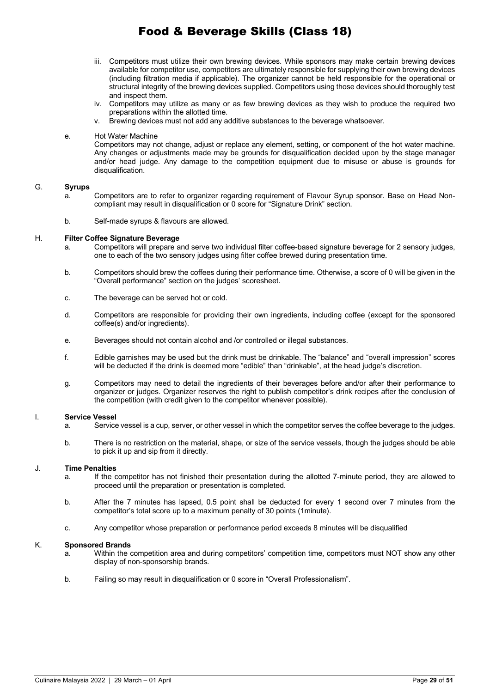- iii. Competitors must utilize their own brewing devices. While sponsors may make certain brewing devices available for competitor use, competitors are ultimately responsible for supplying their own brewing devices (including filtration media if applicable). The organizer cannot be held responsible for the operational or structural integrity of the brewing devices supplied. Competitors using those devices should thoroughly test and inspect them.
- iv. Competitors may utilize as many or as few brewing devices as they wish to produce the required two preparations within the allotted time.
- v. Brewing devices must not add any additive substances to the beverage whatsoever.

#### e. Hot Water Machine

Competitors may not change, adjust or replace any element, setting, or component of the hot water machine. Any changes or adjustments made may be grounds for disqualification decided upon by the stage manager and/or head judge. Any damage to the competition equipment due to misuse or abuse is grounds for disqualification.

#### G. **Syrups**

- a. Competitors are to refer to organizer regarding requirement of Flavour Syrup sponsor. Base on Head Noncompliant may result in disqualification or 0 score for "Signature Drink" section.
- b. Self-made syrups & flavours are allowed.

#### H. **Filter Coffee Signature Beverage**

- a. Competitors will prepare and serve two individual filter coffee-based signature beverage for 2 sensory judges, one to each of the two sensory judges using filter coffee brewed during presentation time.
- b. Competitors should brew the coffees during their performance time. Otherwise, a score of 0 will be given in the "Overall performance" section on the judges' scoresheet.
- c. The beverage can be served hot or cold.
- d. Competitors are responsible for providing their own ingredients, including coffee (except for the sponsored coffee(s) and/or ingredients).
- e. Beverages should not contain alcohol and /or controlled or illegal substances.
- f. Edible garnishes may be used but the drink must be drinkable. The "balance" and "overall impression" scores will be deducted if the drink is deemed more "edible" than "drinkable", at the head judge's discretion.
- g. Competitors may need to detail the ingredients of their beverages before and/or after their performance to organizer or judges. Organizer reserves the right to publish competitor's drink recipes after the conclusion of the competition (with credit given to the competitor whenever possible).

#### I. **Service Vessel**

- a. Service vessel is a cup, server, or other vessel in which the competitor serves the coffee beverage to the judges.
- b. There is no restriction on the material, shape, or size of the service vessels, though the judges should be able to pick it up and sip from it directly.

#### J. **Time Penalties**

- a. If the competitor has not finished their presentation during the allotted 7-minute period, they are allowed to proceed until the preparation or presentation is completed.
- b. After the 7 minutes has lapsed, 0.5 point shall be deducted for every 1 second over 7 minutes from the competitor's total score up to a maximum penalty of 30 points (1minute).
- c. Any competitor whose preparation or performance period exceeds 8 minutes will be disqualified

#### K. **Sponsored Brands**

- a. Within the competition area and during competitors' competition time, competitors must NOT show any other display of non-sponsorship brands.
- b. Failing so may result in disqualification or 0 score in "Overall Professionalism".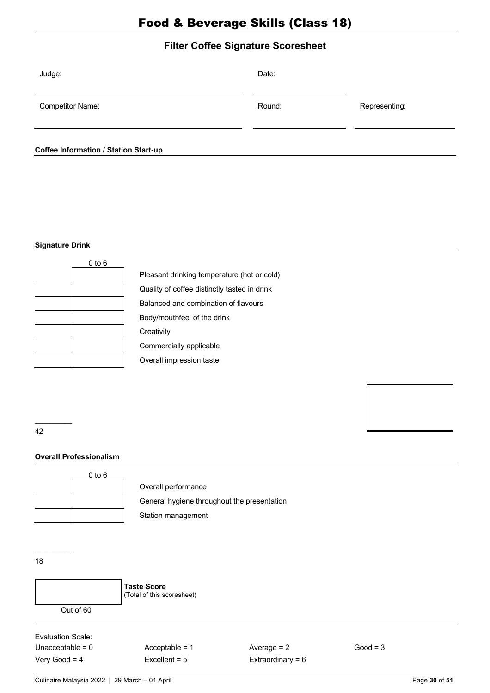# **Filter Coffee Signature Scoresheet**

| Judge:                                       | Date:  |               |
|----------------------------------------------|--------|---------------|
| <b>Competitor Name:</b>                      | Round: | Representing: |
| <b>Coffee Information / Station Start-up</b> |        |               |

#### **Signature Drink**

| $0$ to $6$ |                                              |
|------------|----------------------------------------------|
|            | Pleasant drinking temperature (hot or cold)  |
|            | Quality of coffee distinctly tasted in drink |
|            | Balanced and combination of flavours         |
|            | Body/mouthfeel of the drink                  |
|            | Creativity                                   |
|            | Commercially applicable                      |
|            | Overall impression taste                     |
|            |                                              |

––––– 42

## **Overall Professionalism**

| $0$ to $6$ |  |
|------------|--|
|            |  |
|            |  |
|            |  |
|            |  |

Overall performance General hygiene throughout the presentation Station management

––––– 18



**Taste Score** (Total of this scoresheet)

Evaluation Scale: Unacceptable = 0 Acceptable = 1 Average = 2 Good = 3

Very Good = 4 Excellent = 5 Extraordinary = 6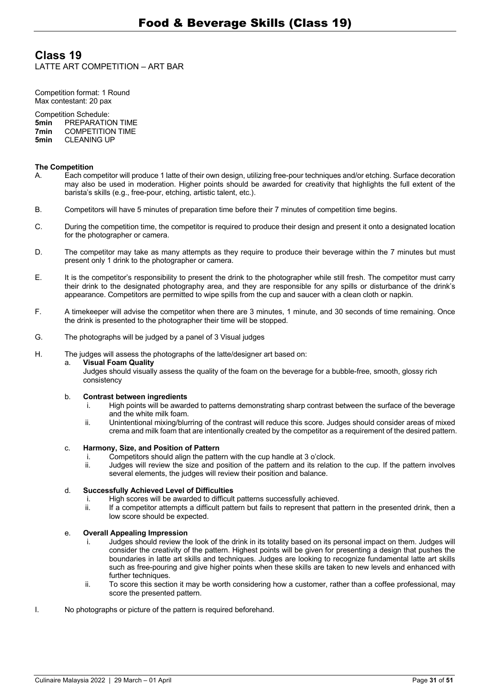## **Class 19** LATTE ART COMPETITION — ART BAR

Competition format: 1 Round Max contestant: 20 pax

Competition Schedule:<br> **5min** PREPARATIC **5min PREPARATION TIME**<br>**7min COMPETITION TIME 7min COMPETITION TIME**<br>**5min** CLEANING UP **CLEANING UP** 

#### **The Competition**

- A. Each competitor will produce 1 latte of their own design, utilizing free-pour techniques and/or etching. Surface decoration may also be used in moderation. Higher points should be awarded for creativity that highlights the full extent of the barista's skills (e.g., free-pour, etching, artistic talent, etc.).
- B. Competitors will have 5 minutes of preparation time before their 7 minutes of competition time begins.
- C. During the competition time, the competitor is required to produce their design and present it onto a designated location for the photographer or camera.
- D. The competitor may take as many attempts as they require to produce their beverage within the 7 minutes but must present only 1 drink to the photographer or camera.
- E. It is the competitor's responsibility to present the drink to the photographer while still fresh. The competitor must carry their drink to the designated photography area, and they are responsible for any spills or disturbance of the drink's appearance. Competitors are permitted to wipe spills from the cup and saucer with a clean cloth or napkin.
- F. A timekeeper will advise the competitor when there are 3 minutes, 1 minute, and 30 seconds of time remaining. Once the drink is presented to the photographer their time will be stopped.
- G. The photographs will be judged by a panel of 3 Visual judges
- H. The judges will assess the photographs of the latte/designer art based on:

#### a. **Visual Foam Quality**

Judges should visually assess the quality of the foam on the beverage for a bubble-free, smooth, glossy rich consistency

#### b. **Contrast between ingredients**

- i. High points will be awarded to patterns demonstrating sharp contrast between the surface of the beverage and the white milk foam.
- ii. Unintentional mixing/blurring of the contrast will reduce this score. Judges should consider areas of mixed crema and milk foam that are intentionally created by the competitor as a requirement of the desired pattern.

#### c. **Harmony, Size, and Position of Pattern**

- i. Competitors should align the pattern with the cup handle at 3 o'clock.<br>ii. Judges will review the size and position of the pattern and its relation
- Judges will review the size and position of the pattern and its relation to the cup. If the pattern involves several elements, the judges will review their position and balance.

## d. **Successfully Achieved Level of Difficulties**

- i. High scores will be awarded to difficult patterns successfully achieved.
- ii. If a competitor attempts a difficult pattern but fails to represent that pattern in the presented drink, then a low score should be expected.

#### e. **Overall Appealing Impression**

- i. Judges should review the look of the drink in its totality based on its personal impact on them. Judges will consider the creativity of the pattern. Highest points will be given for presenting a design that pushes the boundaries in latte art skills and techniques. Judges are looking to recognize fundamental latte art skills such as free-pouring and give higher points when these skills are taken to new levels and enhanced with further techniques.
- ii. To score this section it may be worth considering how a customer, rather than a coffee professional, may score the presented pattern.
- I. No photographs or picture of the pattern is required beforehand.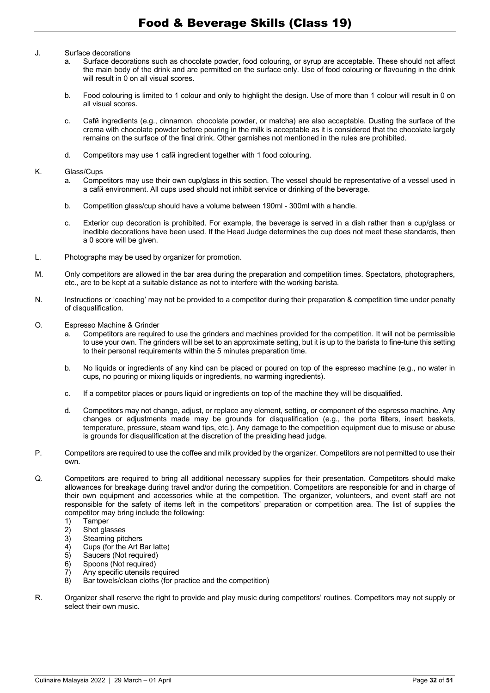#### J. Surface decorations

- a. Surface decorations such as chocolate powder, food colouring, or syrup are acceptable. These should not affect the main body of the drink and are permitted on the surface only. Use of food colouring or flavouring in the drink will result in 0 on all visual scores.
- b. Food colouring is limited to 1 colour and only to highlight the design. Use of more than 1 colour will result in 0 on all visual scores.
- c. Café ingredients (e.g., cinnamon, chocolate powder, or matcha) are also acceptable. Dusting the surface of the crema with chocolate powder before pouring in the milk is acceptable as it is considered that the chocolate largely remains on the surface of the final drink. Other garnishes not mentioned in the rules are prohibited.
- d. Competitors may use 1 café ingredient together with 1 food colouring.

#### K. Glass/Cups

- a. Competitors may use their own cup/glass in this section. The vessel should be representative of a vessel used in a café environment. All cups used should not inhibit service or drinking of the beverage.
- b. Competition glass/cup should have a volume between 190ml 300ml with a handle.
- c. Exterior cup decoration is prohibited. For example, the beverage is served in a dish rather than a cup/glass or inedible decorations have been used. If the Head Judge determines the cup does not meet these standards, then a 0 score will be given.
- L. Photographs may be used by organizer for promotion.
- M. Only competitors are allowed in the bar area during the preparation and competition times. Spectators, photographers, etc., are to be kept at a suitable distance as not to interfere with the working barista.
- N. Instructions or 'coaching' may not be provided to a competitor during their preparation & competition time under penalty of disqualification.
- O. Espresso Machine & Grinder
	- a. Competitors are required to use the grinders and machines provided for the competition. It will not be permissible to use your own. The grinders will be set to an approximate setting, but it is up to the barista to fine-tune this setting to their personal requirements within the 5 minutes preparation time.
	- b. No liquids or ingredients of any kind can be placed or poured on top of the espresso machine (e.g., no water in cups, no pouring or mixing liquids or ingredients, no warming ingredients).
	- c. If a competitor places or pours liquid or ingredients on top of the machine they will be disqualified.
	- d. Competitors may not change, adjust, or replace any element, setting, or component of the espresso machine. Any changes or adjustments made may be grounds for disqualification (e.g., the porta filters, insert baskets, temperature, pressure, steam wand tips, etc.). Any damage to the competition equipment due to misuse or abuse is grounds for disqualification at the discretion of the presiding head judge.
- P. Competitors are required to use the coffee and milk provided by the organizer. Competitors are not permitted to use their own.
- Q. Competitors are required to bring all additional necessary supplies for their presentation. Competitors should make allowances for breakage during travel and/or during the competition. Competitors are responsible for and in charge of their own equipment and accessories while at the competition. The organizer, volunteers, and event staff are not responsible for the safety of items left in the competitors' preparation or competition area. The list of supplies the competitor may bring include the following:
	- 1) Tamper<br>2) Shot gla
	- 2) Shot glasses<br>3) Steaming pite
	- Steaming pitchers
	- 4) Cups (for the Art Bar latte)<br>5) Saucers (Not required)
	- 5) Saucers (Not required)<br>6) Spoons (Not required)
	- Spoons (Not required)
	- 7) Any specific utensils required
	- 8) Bar towels/clean cloths (for practice and the competition)
- R. Organizer shall reserve the right to provide and play music during competitors' routines. Competitors may not supply or select their own music.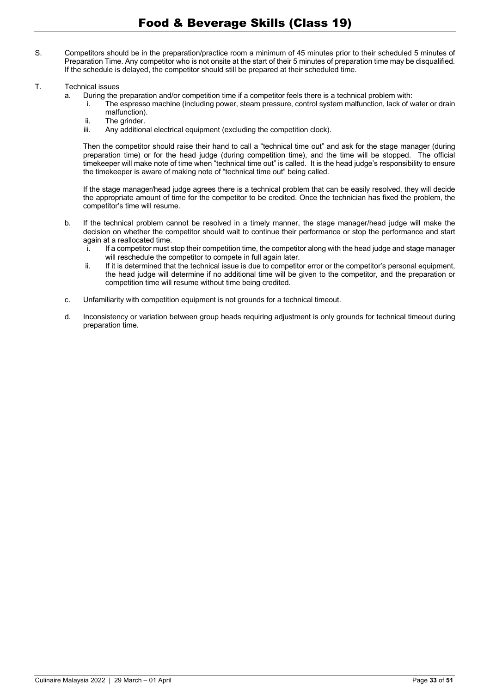- S. Competitors should be in the preparation/practice room a minimum of 45 minutes prior to their scheduled 5 minutes of Preparation Time. Any competitor who is not onsite at the start of their 5 minutes of preparation time may be disqualified. If the schedule is delayed, the competitor should still be prepared at their scheduled time.
- T. Technical issues
	- a. During the preparation and/or competition time if a competitor feels there is a technical problem with:
		- i. The espresso machine (including power, steam pressure, control system malfunction, lack of water or drain malfunction).
		- ii. The grinder.<br>iii. Any addition
		- Any additional electrical equipment (excluding the competition clock).

Then the competitor should raise their hand to call a "technical time out" and ask for the stage manager (during preparation time) or for the head judge (during competition time), and the time will be stopped. The official timekeeper will make note of time when "technical time out" is called. It is the head judge's responsibility to ensure the timekeeper is aware of making note of "technical time out" being called.

If the stage manager/head judge agrees there is a technical problem that can be easily resolved, they will decide the appropriate amount of time for the competitor to be credited. Once the technician has fixed the problem, the competitor's time will resume.

- b. If the technical problem cannot be resolved in a timely manner, the stage manager/head judge will make the decision on whether the competitor should wait to continue their performance or stop the performance and start again at a reallocated time.
	- i. If a competitor must stop their competition time, the competitor along with the head judge and stage manager will reschedule the competitor to compete in full again later.
	- ii. If it is determined that the technical issue is due to competitor error or the competitor's personal equipment, the head judge will determine if no additional time will be given to the competitor, and the preparation or competition time will resume without time being credited.
- c. Unfamiliarity with competition equipment is not grounds for a technical timeout.
- d. Inconsistency or variation between group heads requiring adjustment is only grounds for technical timeout during preparation time.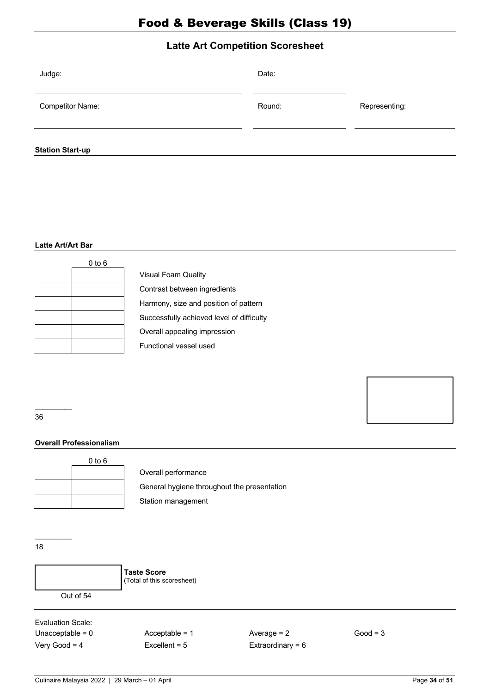# **Latte Art Competition Scoresheet**

| Judge:                  | Date:  |               |
|-------------------------|--------|---------------|
| <b>Competitor Name:</b> | Round: | Representing: |
| <b>Station Start-up</b> |        |               |

#### **Latte Art/Art Bar**

| $0$ to $6$ |
|------------|
|            |
|            |
|            |
|            |
|            |
|            |

| <b>Visual Foam Quality</b>                |
|-------------------------------------------|
| Contrast between ingredients              |
| Harmony, size and position of pattern     |
| Successfully achieved level of difficulty |
| Overall appealing impression              |
| Functional vessel used                    |

––––– 36

## **Overall Professionalism**



Overall performance

General hygiene throughout the presentation Station management

––––– 18

> **Taste Score** (Total of this scoresheet) Out of 54

Evaluation Scale: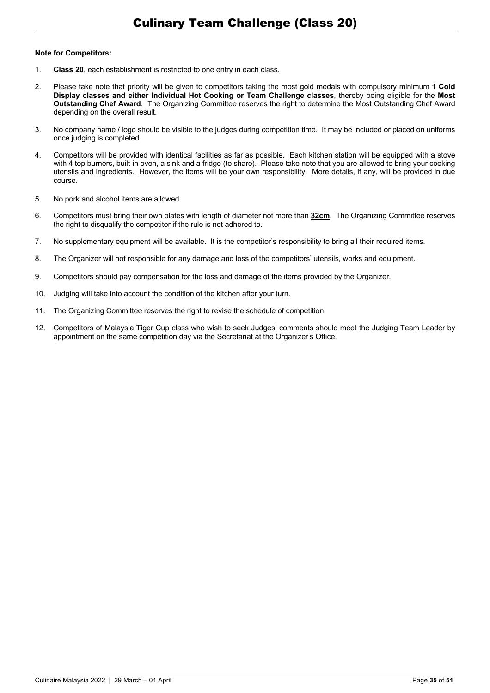#### **Note for Competitors:**

- 1. **Class 20**, each establishment is restricted to one entry in each class.
- 2. Please take note that priority will be given to competitors taking the most gold medals with compulsory minimum **1 Cold Display classes and either Individual Hot Cooking or Team Challenge classes**, thereby being eligible for the **Most Outstanding Chef Award**. The Organizing Committee reserves the right to determine the Most Outstanding Chef Award depending on the overall result.
- 3. No company name / logo should be visible to the judges during competition time. It may be included or placed on uniforms once judging is completed.
- 4. Competitors will be provided with identical facilities as far as possible. Each kitchen station will be equipped with a stove with 4 top burners, built-in oven, a sink and a fridge (to share). Please take note that you are allowed to bring your cooking utensils and ingredients. However, the items will be your own responsibility. More details, if any, will be provided in due course.
- 5. No pork and alcohol items are allowed.
- 6. Competitors must bring their own plates with length of diameter not more than **32cm**. The Organizing Committee reserves the right to disqualify the competitor if the rule is not adhered to.
- 7. No supplementary equipment will be available. It is the competitor's responsibility to bring all their required items.
- 8. The Organizer will not responsible for any damage and loss of the competitors' utensils, works and equipment.
- 9. Competitors should pay compensation for the loss and damage of the items provided by the Organizer.
- 10. Judging will take into account the condition of the kitchen after your turn.
- 11. The Organizing Committee reserves the right to revise the schedule of competition.
- 12. Competitors of Malaysia Tiger Cup class who wish to seek Judges' comments should meet the Judging Team Leader by appointment on the same competition day via the Secretariat at the Organizer's Office.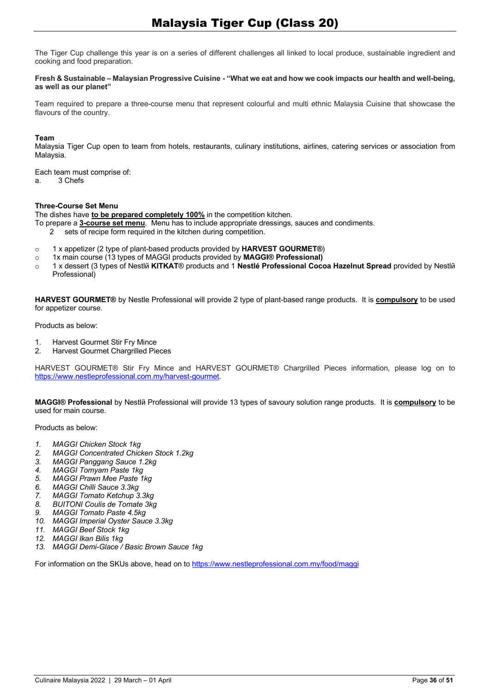The Tiger Cup challenge this year is on a series of different challenges all linked to local produce, sustainable ingredient and cooking and food preparation.

#### **Fresh & Sustainable – Malaysian Progressive Cuisine - "What we eat and how we cook impacts our health and well-being, as well as our planet"**

Team required to prepare a three-course menu that represent colourful and multi ethnic Malaysia Cuisine that showcase the flavours of the country.

#### **Team**

Malaysia Tiger Cup open to team from hotels, restaurants, culinary institutions, airlines, catering services or association from Malaysia.

Each team must comprise of:

a. 3 Chefs

#### **Three-Course Set Menu**

The dishes have **to be prepared completely 100%** in the competition kitchen.

To prepare a **3-course set menu**. Menu has to include appropriate dressings, sauces and condiments.

- 2 sets of recipe form required in the kitchen during competition.
- o 1 x appetizer (2 type of plant-based products provided by **HARVEST GOURMET®**)
- o 1x main course (13 types of MAGGI products provided by **MAGGI® Professional)**
- o 1 x dessert (3 types of Nestlé **KITKAT**® products and 1 **Nestlé Professional Cocoa Hazelnut Spread** provided by Nestlé Professional)

**HARVEST GOURMET®** by Nestle Professional will provide 2 type of plant-based range products. It is **compulsory** to be used for appetizer course.

Products as below:

- 1. Harvest Gourmet Stir Fry Mince
- 2. Harvest Gourmet Chargrilled Pieces

HARVEST GOURMET® Stir Fry Mince and HARVEST GOURMET® Chargrilled Pieces information, please log on to https://www.nestleprofessional.com.my/harvest-gourmet.

**MAGGI® Professional** by Nestlé Professional will provide 13 types of savoury solution range products. It is **compulsory** to be used for main course.

Products as below:

- *1. MAGGI Chicken Stock 1kg*
- *2. MAGGI Concentrated Chicken Stock 1.2kg*
- *3. MAGGI Panggang Sauce 1.2kg*
- *4. MAGGI Tomyam Paste 1kg*
- *5. MAGGI Prawn Mee Paste 1kg*
- *6. MAGGI Chilli Sauce 3.3kg*
- *7. MAGGI Tomato Ketchup 3.3kg*
- *8. BUITONI Coulis de Tomate 3kg*
- *9. MAGGI Tomato Paste 4.5kg*
- *10. MAGGI Imperial Oyster Sauce 3.3kg*
- *11. MAGGI Beef Stock 1kg*
- *12. MAGGI Ikan Bilis 1kg*
- *13. MAGGI Demi-Glace / Basic Brown Sauce 1kg*

For information on the SKUs above, head on to https://www.nestleprofessional.com.my/food/maggi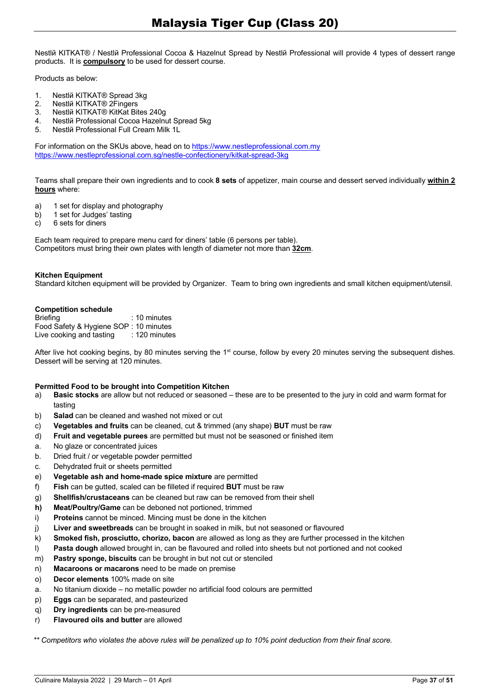Nestlň KITKAT® / Nestlň Professional Cocoa & Hazelnut Spread by Nestlň Professional will provide 4 types of dessert range products. It is **compulsory** to be used for dessert course.

Products as below:

- 1. Nestlй KITKAT<sup>®</sup> Spread 3kg
- 2. Nestlé KITKAT® 2Fingers
- 3. Nestlй KITKAT® KitKat Bites 240g<br>4. Nestlй Professional Cocoa Hazelni
- 4. Nestlй Professional Cocoa Hazelnut Spread 5kg<br>5. Nestlй Professional Full Cream Milk 11
- 5. Nestlé Professional Full Cream Milk 1L

For information on the SKUs above, head on to https://www.nestleprofessional.com.my https://www.nestleprofessional.com.sg/nestle-confectionery/kitkat-spread-3kg

Teams shall prepare their own ingredients and to cook **8 sets** of appetizer, main course and dessert served individually **within 2 hours** where:

- a) 1 set for display and photography
- b) 1 set for Judges' tasting
- c) 6 sets for diners

Each team required to prepare menu card for diners' table (6 persons per table). Competitors must bring their own plates with length of diameter not more than **32cm**.

#### **Kitchen Equipment**

Standard kitchen equipment will be provided by Organizer. Team to bring own ingredients and small kitchen equipment/utensil.

#### **Competition schedule**

| <b>Briefing</b>                       | $: 10$ minutes  |
|---------------------------------------|-----------------|
| Food Safety & Hygiene SOP: 10 minutes |                 |
| Live cooking and tasting              | $: 120$ minutes |

After live hot cooking begins, by 80 minutes serving the 1<sup>st</sup> course, follow by every 20 minutes serving the subsequent dishes. Dessert will be serving at 120 minutes.

#### **Permitted Food to be brought into Competition Kitchen**

- a) **Basic stocks** are allow but not reduced or seasoned these are to be presented to the jury in cold and warm format for tasting
- b) **Salad** can be cleaned and washed not mixed or cut
- c) **Vegetables and fruits** can be cleaned, cut & trimmed (any shape) **BUT** must be raw
- d) **Fruit and vegetable purees** are permitted but must not be seasoned or finished item
- a. No glaze or concentrated juices
- b. Dried fruit / or vegetable powder permitted
- c. Dehydrated fruit or sheets permitted
- e) **Vegetable ash and home-made spice mixture** are permitted
- f) **Fish** can be gutted, scaled can be filleted if required **BUT** must be raw
- g) **Shellfish/crustaceans** can be cleaned but raw can be removed from their shell
- **h) Meat/Poultry/Game** can be deboned not portioned, trimmed
- i) **Proteins** cannot be minced. Mincing must be done in the kitchen
- j) **Liver and sweetbreads** can be brought in soaked in milk, but not seasoned or flavoured
- k) **Smoked fish, prosciutto, chorizo, bacon** are allowed as long as they are further processed in the kitchen
- l) **Pasta dough** allowed brought in, can be flavoured and rolled into sheets but not portioned and not cooked
- m) **Pastry sponge, biscuits** can be brought in but not cut or stenciled
- n) **Macaroons or macarons** need to be made on premise
- o) **Decor elements** 100% made on site
- a. No titanium dioxide no metallic powder no artificial food colours are permitted
- p) **Eggs** can be separated, and pasteurized
- q) **Dry ingredients** can be pre-measured
- r) **Flavoured oils and butter** are allowed

*\*\* Competitors who violates the above rules will be penalized up to 10% point deduction from their final score.*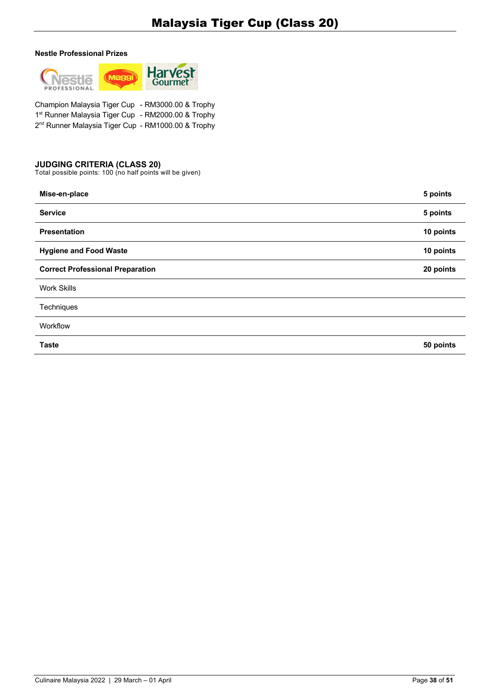#### **Nestle Professional Prizes**



Champion Malaysia Tiger Cup - RM3000.00 & Trophy 1st Runner Malaysia Tiger Cup - RM2000.00 & Trophy 2<sup>nd</sup> Runner Malaysia Tiger Cup - RM1000.00 & Trophy

## **JUDGING CRITERIA (CLASS 20)**

| Mise-en-place                           | 5 points  |
|-----------------------------------------|-----------|
| <b>Service</b>                          | 5 points  |
| <b>Presentation</b>                     | 10 points |
| <b>Hygiene and Food Waste</b>           | 10 points |
| <b>Correct Professional Preparation</b> | 20 points |
| <b>Work Skills</b>                      |           |
| Techniques                              |           |
| Workflow                                |           |
| <b>Taste</b>                            | 50 points |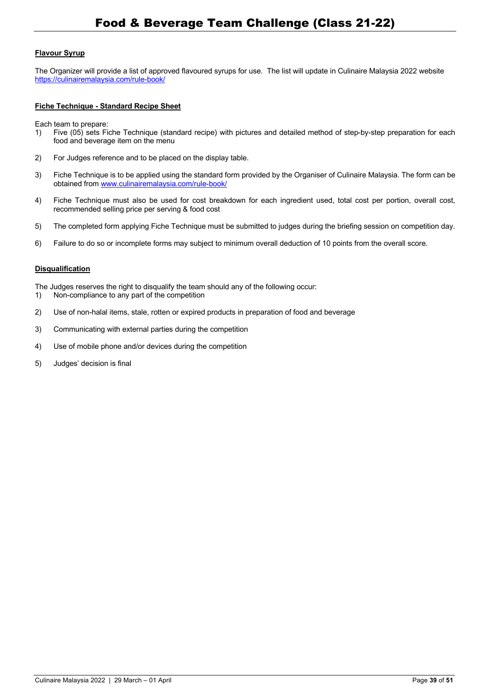## **Flavour Syrup**

The Organizer will provide a list of approved flavoured syrups for use. The list will update in Culinaire Malaysia 2022 website https://culinairemalaysia.com/rule-book/

#### **Fiche Technique - Standard Recipe Sheet**

Each team to prepare:

- 1) Five (05) sets Fiche Technique (standard recipe) with pictures and detailed method of step-by-step preparation for each food and beverage item on the menu
- 2) For Judges reference and to be placed on the display table.
- 3) Fiche Technique is to be applied using the standard form provided by the Organiser of Culinaire Malaysia. The form can be obtained from www.culinairemalaysia.com/rule-book/
- 4) Fiche Technique must also be used for cost breakdown for each ingredient used, total cost per portion, overall cost, recommended selling price per serving & food cost
- 5) The completed form applying Fiche Technique must be submitted to judges during the briefing session on competition day.
- 6) Failure to do so or incomplete forms may subject to minimum overall deduction of 10 points from the overall score.

#### **Disqualification**

The Judges reserves the right to disqualify the team should any of the following occur:

- 1) Non-compliance to any part of the competition
- 2) Use of non-halal items, stale, rotten or expired products in preparation of food and beverage
- 3) Communicating with external parties during the competition
- 4) Use of mobile phone and/or devices during the competition
- 5) Judges' decision is final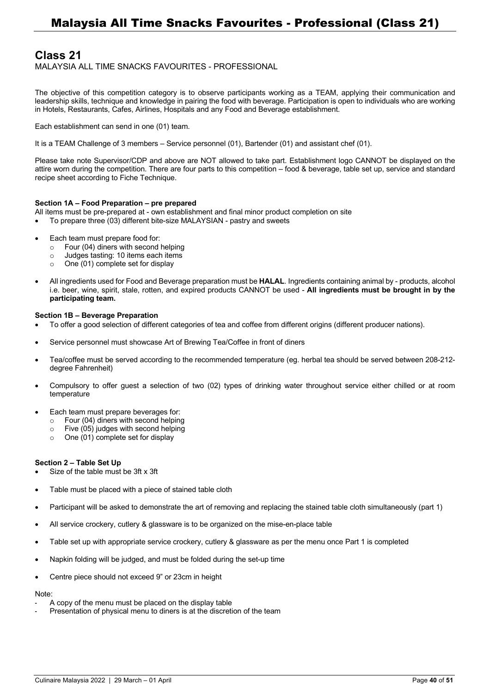# **Class 21**

MALAYSIA ALL TIME SNACKS FAVOURITES - PROFESSIONAL

The objective of this competition category is to observe participants working as a TEAM, applying their communication and leadership skills, technique and knowledge in pairing the food with beverage. Participation is open to individuals who are working in Hotels, Restaurants, Cafes, Airlines, Hospitals and any Food and Beverage establishment.

Each establishment can send in one (01) team.

It is a TEAM Challenge of 3 members — Service personnel (01), Bartender (01) and assistant chef (01).

Please take note Supervisor/CDP and above are NOT allowed to take part. Establishment logo CANNOT be displayed on the attire worn during the competition. There are four parts to this competition — food & beverage, table set up, service and standard recipe sheet according to Fiche Technique.

#### **Section 1A – Food Preparation – pre prepared**

- All items must be pre-prepared at own establishment and final minor product completion on site
- To prepare three (03) different bite-size MALAYSIAN pastry and sweets
- Each team must prepare food for:
	- o Four (04) diners with second helping
	- o Judges tasting: 10 items each items
	- o One (01) complete set for display
- All ingredients used for Food and Beverage preparation must be **HALAL**. Ingredients containing animal by products, alcohol i.e. beer, wine, spirit, stale, rotten, and expired products CANNOT be used - **All ingredients must be brought in by the participating team.**

#### **Section 1B – Beverage Preparation**

- To offer a good selection of different categories of tea and coffee from different origins (different producer nations).
- Service personnel must showcase Art of Brewing Tea/Coffee in front of diners
- Tea/coffee must be served according to the recommended temperature (eg. herbal tea should be served between 208-212 degree Fahrenheit)
- Compulsory to offer guest a selection of two (02) types of drinking water throughout service either chilled or at room temperature
- Each team must prepare beverages for:
	- o Four (04) diners with second helping
	- $\circ$  Five (05) judges with second helping
	- $\circ$  One (01) complete set for display

#### **Section 2 – Table Set Up**

- Size of the table must be 3ft x 3ft
- Table must be placed with a piece of stained table cloth
- Participant will be asked to demonstrate the art of removing and replacing the stained table cloth simultaneously (part 1)
- All service crockery, cutlery & glassware is to be organized on the mise-en-place table
- Table set up with appropriate service crockery, cutlery & glassware as per the menu once Part 1 is completed
- Napkin folding will be judged, and must be folded during the set-up time
- Centre piece should not exceed 9" or 23cm in height

## Note:

- A copy of the menu must be placed on the display table
- Presentation of physical menu to diners is at the discretion of the team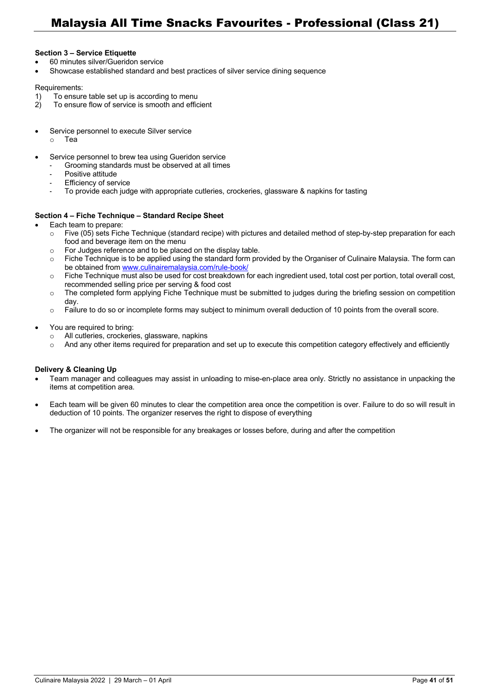#### **Section 3 – Service Etiquette**

- 60 minutes silver/Gueridon service
- Showcase established standard and best practices of silver service dining sequence

#### Requirements:

- 1) To ensure table set up is according to menu<br>2) To ensure flow of service is smooth and effic
- To ensure flow of service is smooth and efficient
- Service personnel to execute Silver service
	- o Tea
- Service personnel to brew tea using Gueridon service
	- Grooming standards must be observed at all times
		- Positive attitude
		- Efficiency of service
		- To provide each judge with appropriate cutleries, crockeries, glassware & napkins for tasting

#### **Section 4 – Fiche Technique – Standard Recipe Sheet**

- Each team to prepare:
	- $\circ$  Five (05) sets Fiche Technique (standard recipe) with pictures and detailed method of step-by-step preparation for each food and beverage item on the menu
	- o For Judges reference and to be placed on the display table.
	- $\circ$  Fiche Technique is to be applied using the standard form provided by the Organiser of Culinaire Malaysia. The form can be obtained from www.culinairemalaysia.com/rule-book/
	- o Fiche Technique must also be used for cost breakdown for each ingredient used, total cost per portion, total overall cost, recommended selling price per serving & food cost
	- o The completed form applying Fiche Technique must be submitted to judges during the briefing session on competition day.
	- o Failure to do so or incomplete forms may subject to minimum overall deduction of 10 points from the overall score.
- You are required to bring:
	- o All cutleries, crockeries, glassware, napkins
	- $\circ$  And any other items required for preparation and set up to execute this competition category effectively and efficiently

#### **Delivery & Cleaning Up**

- Team manager and colleagues may assist in unloading to mise-en-place area only. Strictly no assistance in unpacking the items at competition area.
- Each team will be given 60 minutes to clear the competition area once the competition is over. Failure to do so will result in deduction of 10 points. The organizer reserves the right to dispose of everything
- The organizer will not be responsible for any breakages or losses before, during and after the competition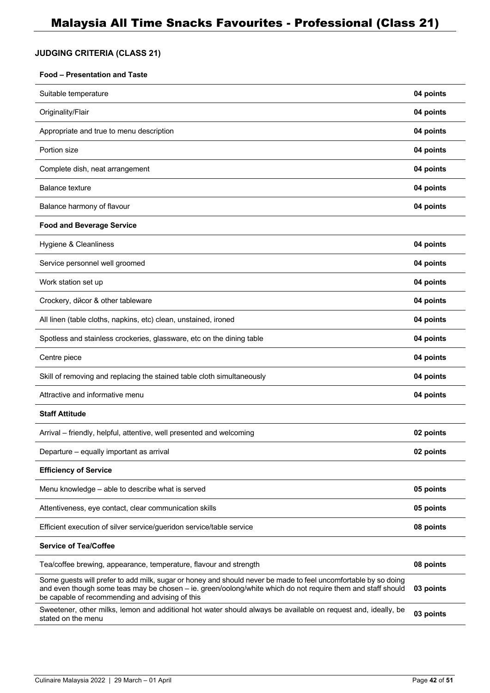## **JUDGING CRITERIA (CLASS 21)**

#### **Food – Presentation and Taste**

| Suitable temperature                                                                                                                                                                                                                                                             | 04 points |
|----------------------------------------------------------------------------------------------------------------------------------------------------------------------------------------------------------------------------------------------------------------------------------|-----------|
| Originality/Flair                                                                                                                                                                                                                                                                | 04 points |
| Appropriate and true to menu description                                                                                                                                                                                                                                         | 04 points |
| Portion size                                                                                                                                                                                                                                                                     | 04 points |
| Complete dish, neat arrangement                                                                                                                                                                                                                                                  | 04 points |
| <b>Balance texture</b>                                                                                                                                                                                                                                                           | 04 points |
| Balance harmony of flavour                                                                                                                                                                                                                                                       | 04 points |
| <b>Food and Beverage Service</b>                                                                                                                                                                                                                                                 |           |
| Hygiene & Cleanliness                                                                                                                                                                                                                                                            | 04 points |
| Service personnel well groomed                                                                                                                                                                                                                                                   | 04 points |
| Work station set up                                                                                                                                                                                                                                                              | 04 points |
| Crockery, dйcor & other tableware                                                                                                                                                                                                                                                | 04 points |
| All linen (table cloths, napkins, etc) clean, unstained, ironed                                                                                                                                                                                                                  | 04 points |
| Spotless and stainless crockeries, glassware, etc on the dining table                                                                                                                                                                                                            | 04 points |
| Centre piece                                                                                                                                                                                                                                                                     | 04 points |
| Skill of removing and replacing the stained table cloth simultaneously                                                                                                                                                                                                           | 04 points |
| Attractive and informative menu                                                                                                                                                                                                                                                  | 04 points |
| <b>Staff Attitude</b>                                                                                                                                                                                                                                                            |           |
| Arrival – friendly, helpful, attentive, well presented and welcoming                                                                                                                                                                                                             | 02 points |
| Departure - equally important as arrival                                                                                                                                                                                                                                         | 02 points |
| <b>Efficiency of Service</b>                                                                                                                                                                                                                                                     |           |
| Menu knowledge - able to describe what is served                                                                                                                                                                                                                                 | 05 points |
| Attentiveness, eye contact, clear communication skills                                                                                                                                                                                                                           | 05 points |
| Efficient execution of silver service/gueridon service/table service                                                                                                                                                                                                             | 08 points |
| <b>Service of Tea/Coffee</b>                                                                                                                                                                                                                                                     |           |
| Tea/coffee brewing, appearance, temperature, flavour and strength                                                                                                                                                                                                                | 08 points |
| Some guests will prefer to add milk, sugar or honey and should never be made to feel uncomfortable by so doing<br>and even though some teas may be chosen - ie. green/oolong/white which do not require them and staff should<br>be capable of recommending and advising of this | 03 points |
| Sweetener, other milks, lemon and additional hot water should always be available on request and, ideally, be<br>stated on the menu                                                                                                                                              | 03 points |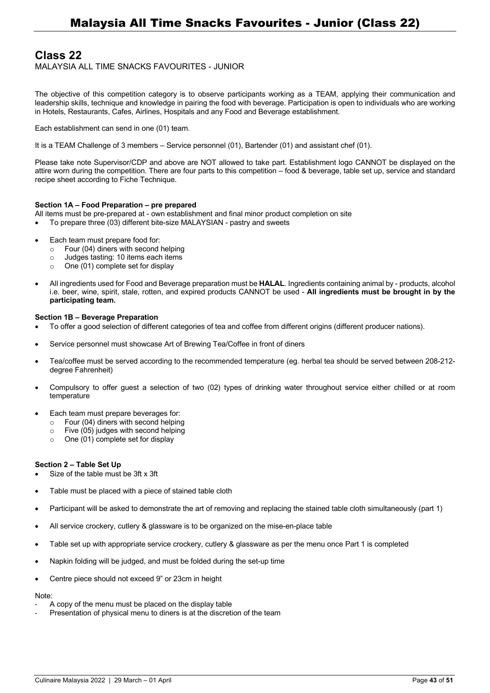# **Class 22**

MALAYSIA ALL TIME SNACKS FAVOURITES - JUNIOR

The objective of this competition category is to observe participants working as a TEAM, applying their communication and leadership skills, technique and knowledge in pairing the food with beverage. Participation is open to individuals who are working in Hotels, Restaurants, Cafes, Airlines, Hospitals and any Food and Beverage establishment.

Each establishment can send in one (01) team.

It is a TEAM Challenge of 3 members — Service personnel (01), Bartender (01) and assistant chef (01).

Please take note Supervisor/CDP and above are NOT allowed to take part. Establishment logo CANNOT be displayed on the attire worn during the competition. There are four parts to this competition — food & beverage, table set up, service and standard recipe sheet according to Fiche Technique.

#### **Section 1A – Food Preparation – pre prepared**

- All items must be pre-prepared at own establishment and final minor product completion on site
- To prepare three (03) different bite-size MALAYSIAN pastry and sweets
- Each team must prepare food for:
	- o Four (04) diners with second helping
	- o Judges tasting: 10 items each items
	- $\circ$  One (01) complete set for display
- All ingredients used for Food and Beverage preparation must be **HALAL**. Ingredients containing animal by products, alcohol i.e. beer, wine, spirit, stale, rotten, and expired products CANNOT be used - **All ingredients must be brought in by the participating team.**

#### **Section 1B – Beverage Preparation**

- To offer a good selection of different categories of tea and coffee from different origins (different producer nations).
- Service personnel must showcase Art of Brewing Tea/Coffee in front of diners
- Tea/coffee must be served according to the recommended temperature (eg. herbal tea should be served between 208-212 degree Fahrenheit)
- Compulsory to offer guest a selection of two (02) types of drinking water throughout service either chilled or at room temperature
- Each team must prepare beverages for:
	- o Four (04) diners with second helping
	- o Five (05) judges with second helping
	- $\circ$  One (01) complete set for display

#### **Section 2 – Table Set Up**

- Size of the table must be 3ft x 3ft
- Table must be placed with a piece of stained table cloth
- Participant will be asked to demonstrate the art of removing and replacing the stained table cloth simultaneously (part 1)
- All service crockery, cutlery & glassware is to be organized on the mise-en-place table
- Table set up with appropriate service crockery, cutlery & glassware as per the menu once Part 1 is completed
- Napkin folding will be judged, and must be folded during the set-up time
- Centre piece should not exceed 9" or 23cm in height

## Note:

- A copy of the menu must be placed on the display table
- Presentation of physical menu to diners is at the discretion of the team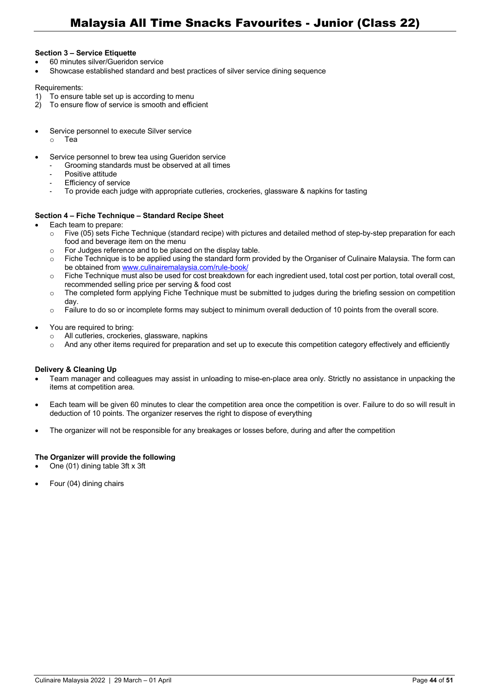#### **Section 3 – Service Etiquette**

- 60 minutes silver/Gueridon service
- Showcase established standard and best practices of silver service dining sequence

#### Requirements:

- 1) To ensure table set up is according to menu<br>2) To ensure flow of service is smooth and effice
- To ensure flow of service is smooth and efficient
- Service personnel to execute Silver service
	- o Tea
- Service personnel to brew tea using Gueridon service
	- Grooming standards must be observed at all times
		- Positive attitude
		- Efficiency of service
		- To provide each judge with appropriate cutleries, crockeries, glassware & napkins for tasting

#### **Section 4 – Fiche Technique – Standard Recipe Sheet**

- Each team to prepare:
	- $\circ$  Five (05) sets Fiche Technique (standard recipe) with pictures and detailed method of step-by-step preparation for each food and beverage item on the menu
	- o For Judges reference and to be placed on the display table.
	- $\circ$  Fiche Technique is to be applied using the standard form provided by the Organiser of Culinaire Malaysia. The form can be obtained from www.culinairemalaysia.com/rule-book/
	- o Fiche Technique must also be used for cost breakdown for each ingredient used, total cost per portion, total overall cost, recommended selling price per serving & food cost
	- o The completed form applying Fiche Technique must be submitted to judges during the briefing session on competition day.
	- o Failure to do so or incomplete forms may subject to minimum overall deduction of 10 points from the overall score.
- You are required to bring:
	- o All cutleries, crockeries, glassware, napkins
	- o And any other items required for preparation and set up to execute this competition category effectively and efficiently

#### **Delivery & Cleaning Up**

- Team manager and colleagues may assist in unloading to mise-en-place area only. Strictly no assistance in unpacking the items at competition area.
- Each team will be given 60 minutes to clear the competition area once the competition is over. Failure to do so will result in deduction of 10 points. The organizer reserves the right to dispose of everything
- The organizer will not be responsible for any breakages or losses before, during and after the competition

#### **The Organizer will provide the following**

- One (01) dining table 3ft x 3ft
- Four (04) dining chairs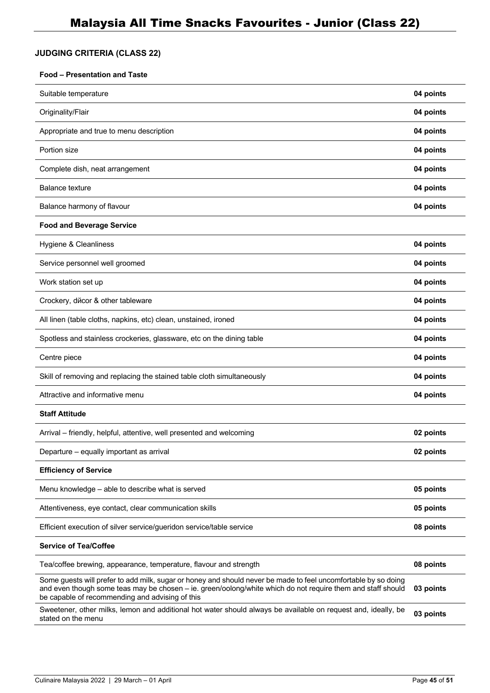# **JUDGING CRITERIA (CLASS 22)**

#### **Food – Presentation and Taste**

| Suitable temperature                                                                                                                                                                                                                                                             | 04 points |
|----------------------------------------------------------------------------------------------------------------------------------------------------------------------------------------------------------------------------------------------------------------------------------|-----------|
| Originality/Flair                                                                                                                                                                                                                                                                | 04 points |
| Appropriate and true to menu description                                                                                                                                                                                                                                         | 04 points |
| Portion size                                                                                                                                                                                                                                                                     | 04 points |
| Complete dish, neat arrangement                                                                                                                                                                                                                                                  | 04 points |
| Balance texture                                                                                                                                                                                                                                                                  | 04 points |
| Balance harmony of flavour                                                                                                                                                                                                                                                       | 04 points |
| <b>Food and Beverage Service</b>                                                                                                                                                                                                                                                 |           |
| Hygiene & Cleanliness                                                                                                                                                                                                                                                            | 04 points |
| Service personnel well groomed                                                                                                                                                                                                                                                   | 04 points |
| Work station set up                                                                                                                                                                                                                                                              | 04 points |
| Crockery, dйcor & other tableware                                                                                                                                                                                                                                                | 04 points |
| All linen (table cloths, napkins, etc) clean, unstained, ironed                                                                                                                                                                                                                  | 04 points |
| Spotless and stainless crockeries, glassware, etc on the dining table                                                                                                                                                                                                            | 04 points |
| Centre piece                                                                                                                                                                                                                                                                     | 04 points |
| Skill of removing and replacing the stained table cloth simultaneously                                                                                                                                                                                                           | 04 points |
| Attractive and informative menu                                                                                                                                                                                                                                                  | 04 points |
| <b>Staff Attitude</b>                                                                                                                                                                                                                                                            |           |
| Arrival – friendly, helpful, attentive, well presented and welcoming                                                                                                                                                                                                             | 02 points |
| Departure - equally important as arrival                                                                                                                                                                                                                                         | 02 points |
| <b>Efficiency of Service</b>                                                                                                                                                                                                                                                     |           |
| Menu knowledge - able to describe what is served                                                                                                                                                                                                                                 | 05 points |
| Attentiveness, eye contact, clear communication skills                                                                                                                                                                                                                           | 05 points |
| Efficient execution of silver service/gueridon service/table service                                                                                                                                                                                                             | 08 points |
| <b>Service of Tea/Coffee</b>                                                                                                                                                                                                                                                     |           |
| Tea/coffee brewing, appearance, temperature, flavour and strength                                                                                                                                                                                                                | 08 points |
| Some guests will prefer to add milk, sugar or honey and should never be made to feel uncomfortable by so doing<br>and even though some teas may be chosen - ie. green/oolong/white which do not require them and staff should<br>be capable of recommending and advising of this | 03 points |
| Sweetener, other milks, lemon and additional hot water should always be available on request and, ideally, be<br>stated on the menu                                                                                                                                              | 03 points |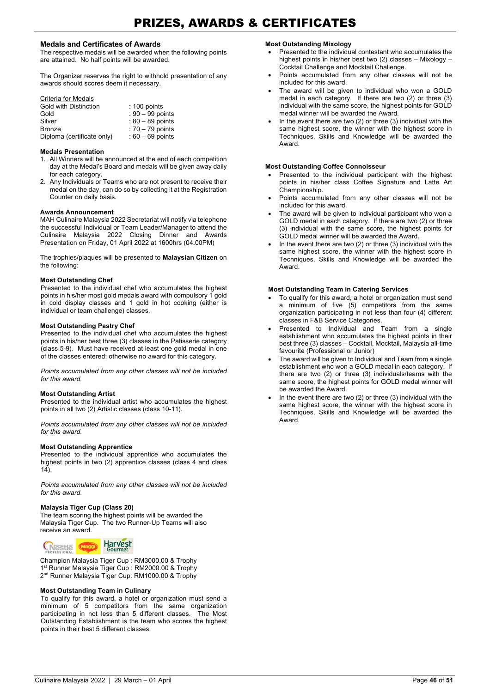#### **Medals and Certificates of Awards**

The respective medals will be awarded when the following points are attained. No half points will be awarded.

The Organizer reserves the right to withhold presentation of any awards should scores deem it necessary.

#### Criteria for Medals

| Gold with Distinction      | $: 100$ points     |
|----------------------------|--------------------|
| Gold                       | $: 90 - 99$ points |
| Silver                     | $: 80 - 89$ points |
| <b>Bronze</b>              | $: 70 - 79$ points |
| Diploma (certificate only) | $:60-69$ points    |

#### **Medals Presentation**

- 1. All Winners will be announced at the end of each competition day at the Medal's Board and medals will be given away daily for each category.
- 2. Any Individuals or Teams who are not present to receive their medal on the day, can do so by collecting it at the Registration Counter on daily basis.

#### **Awards Announcement**

MAH Culinaire Malaysia 2022 Secretariat will notify via telephone the successful Individual or Team Leader/Manager to attend the Culinaire Malaysia 2022 Closing Dinner and Awards Presentation on Friday, 01 April 2022 at 1600hrs (04.00PM)

The trophies/plaques will be presented to **Malaysian Citizen** on the following:

#### **Most Outstanding Chef**

Presented to the individual chef who accumulates the highest points in his/her most gold medals award with compulsory 1 gold in cold display classes and 1 gold in hot cooking (either is individual or team challenge) classes.

#### **Most Outstanding Pastry Chef**

Presented to the individual chef who accumulates the highest points in his/her best three (3) classes in the Patisserie category (class 5-9). Must have received at least one gold medal in one of the classes entered; otherwise no award for this category.

*Points accumulated from any other classes will not be included for this award.*

#### **Most Outstanding Artist**

Presented to the individual artist who accumulates the highest points in all two (2) Artistic classes (class 10-11).

*Points accumulated from any other classes will not be included for this award.*

#### **Most Outstanding Apprentice**

Presented to the individual apprentice who accumulates the highest points in two (2) apprentice classes (class 4 and class  $14)$ 

*Points accumulated from any other classes will not be included for this award.*

#### **Malaysia Tiger Cup (Class 20)**

The team scoring the highest points will be awarded the Malaysia Tiger Cup. The two Runner-Up Teams will also receive an award.



Champion Malaysia Tiger Cup : RM3000.00 & Trophy 1<sup>st</sup> Runner Malaysia Tiger Cup : RM2000.00 & Trophy 2nd Runner Malaysia Tiger Cup: RM1000.00 & Trophy

#### **Most Outstanding Team in Culinary**

To qualify for this award, a hotel or organization must send a minimum of 5 competitors from the same organization participating in not less than 5 different classes. The Most Outstanding Establishment is the team who scores the highest points in their best 5 different classes.

#### **Most Outstanding Mixology**

- Presented to the individual contestant who accumulates the highest points in his/her best two (2) classes - Mixology -Cocktail Challenge and Mocktail Challenge.
- Points accumulated from any other classes will not be included for this award.
- The award will be given to individual who won a GOLD medal in each category. If there are two (2) or three (3) individual with the same score, the highest points for GOLD medal winner will be awarded the Award.
- In the event there are two  $(2)$  or three  $(3)$  individual with the same highest score, the winner with the highest score in Techniques, Skills and Knowledge will be awarded the Award.

#### **Most Outstanding Coffee Connoisseur**

- Presented to the individual participant with the highest points in his/her class Coffee Signature and Latte Art Championship.
- Points accumulated from any other classes will not be included for this award.
- The award will be given to individual participant who won a GOLD medal in each category. If there are two (2) or three (3) individual with the same score, the highest points for GOLD medal winner will be awarded the Award.
- In the event there are two  $(2)$  or three  $(3)$  individual with the same highest score, the winner with the highest score in Techniques, Skills and Knowledge will be awarded the Award.

#### **Most Outstanding Team in Catering Services**

- To qualify for this award, a hotel or organization must send a minimum of five (5) competitors from the same organization participating in not less than four (4) different classes in F&B Service Categories.
- Presented to Individual and Team from a single establishment who accumulates the highest points in their best three (3) classes — Cocktail, Mocktail, Malaysia all-time favourite (Professional or Junior)
- The award will be given to Individual and Team from a single establishment who won a GOLD medal in each category. If there are two (2) or three (3) individuals/teams with the same score, the highest points for GOLD medal winner will be awarded the Award.
- In the event there are two  $(2)$  or three  $(3)$  individual with the same highest score, the winner with the highest score in Techniques, Skills and Knowledge will be awarded the Award.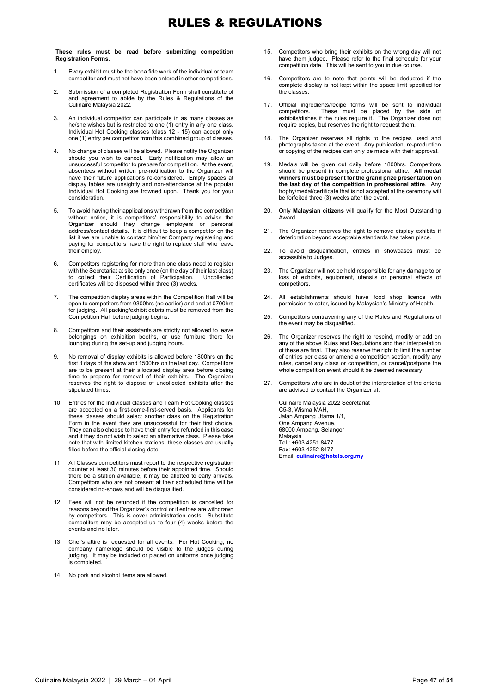**These rules must be read before submitting competition Registration Forms.**

- 1. Every exhibit must be the bona fide work of the individual or team competitor and must not have been entered in other competitions.
- 2. Submission of a completed Registration Form shall constitute of and agreement to abide by the Rules & Regulations of the Culinaire Malaysia 2022.
- 3. An individual competitor can participate in as many classes as he/she wishes but is restricted to one (1) entry in any one class. Individual Hot Cooking classes (class 12 - 15) can accept only one (1) entry per competitor from this combined group of classes.
- 4. No change of classes will be allowed. Please notify the Organizer should you wish to cancel. Early notification may allow an unsuccessful competitor to prepare for competition. At the event, absentees without written pre-notification to the Organizer will have their future applications re-considered. Empty spaces at display tables are unsightly and non-attendance at the popular Individual Hot Cooking are frowned upon. Thank you for your consideration.
- 5. To avoid having their applications withdrawn from the competition without notice, it is competitors' responsibility to advise the Organizer should they change employers or personal address/contact details. It is difficult to keep a competitor on the list if we are unable to contact him/her Company registering and paying for competitors have the right to replace staff who leave their employ.
- 6. Competitors registering for more than one class need to register with the Secretariat at site only once (on the day of their last class) to collect their Certification of Participation. Uncollected certificates will be disposed within three (3) weeks.
- 7. The competition display areas within the Competition Hall will be open to competitors from 0300hrs (no earlier) and end at 0700hrs for judging. All packing/exhibit debris must be removed from the Competition Hall before judging begins.
- 8. Competitors and their assistants are strictly not allowed to leave belongings on exhibition booths, or use furniture there for lounging during the set-up and judging hours.
- 9. No removal of display exhibits is allowed before 1800hrs on the first 3 days of the show and 1500hrs on the last day. Competitors are to be present at their allocated display area before closing time to prepare for removal of their exhibits. The Organizer reserves the right to dispose of uncollected exhibits after the stipulated times.
- 10. Entries for the Individual classes and Team Hot Cooking classes are accepted on a first-come-first-served basis. Applicants for these classes should select another class on the Registration Form in the event they are unsuccessful for their first choice. They can also choose to have their entry fee refunded in this case and if they do not wish to select an alternative class. Please take note that with limited kitchen stations, these classes are usually filled before the official closing date.
- 11. All Classes competitors must report to the respective registration counter at least 30 minutes before their appointed time. Should there be a station available, it may be allotted to early arrivals. Competitors who are not present at their scheduled time will be considered no-shows and will be disqualified.
- 12. Fees will not be refunded if the competition is cancelled for reasons beyond the Organizer's control or if entries are withdrawn by competitors. This is cover administration costs. Substitute competitors may be accepted up to four (4) weeks before the events and no later.
- 13. Chef's attire is requested for all events. For Hot Cooking, no company name/logo should be visible to the judges during judging. It may be included or placed on uniforms once judging is completed.
- 14. No pork and alcohol items are allowed.
- 15. Competitors who bring their exhibits on the wrong day will not have them judged. Please refer to the final schedule for your competition date. This will be sent to you in due course.
- 16. Competitors are to note that points will be deducted if the complete display is not kept within the space limit specified for the classes.
- 17. Official ingredients/recipe forms will be sent to individual competitors. These must be placed by the side of exhibits/dishes if the rules require it. The Organizer does not require copies, but reserves the right to request them.
- 18. The Organizer reserves all rights to the recipes used and photographs taken at the event. Any publication, re-production or copying of the recipes can only be made with their approval.
- 19. Medals will be given out daily before 1800hrs. Competitors should be present in complete professional attire. **All medal winners must be present for the grand prize presentation on the last day of the competition in professional attire**. Any trophy/medal/certificate that is not accepted at the ceremony will be forfeited three (3) weeks after the event.
- 20. Only **Malaysian citizens** will qualify for the Most Outstanding Award.
- 21. The Organizer reserves the right to remove display exhibits if deterioration beyond acceptable standards has taken place.
- 22. To avoid disqualification, entries in showcases must be accessible to Judges.
- 23. The Organizer will not be held responsible for any damage to or loss of exhibits, equipment, utensils or personal effects of competitors.
- 24. All establishments should have food shop licence with permission to cater, issued by Malaysian's Ministry of Health.
- 25. Competitors contravening any of the Rules and Regulations of the event may be disqualified.
- 26. The Organizer reserves the right to rescind, modify or add on any of the above Rules and Regulations and their interpretation of these are final. They also reserve the right to limit the number of entries per class or amend a competition section, modify any rules, cancel any class or competition, or cancel/postpone the whole competition event should it be deemed necessary
- 27. Competitors who are in doubt of the interpretation of the criteria are advised to contact the Organizer at:

Culinaire Malaysia 2022 Secretariat C5-3, Wisma MAH, Jalan Ampang Utama 1/1, One Ampang Avenue, 68000 Ampang, Selangor Malaysia Tel : +603 4251 8477 Fax: +603 4252 8477 Email: **culinaire@hotels.org.my**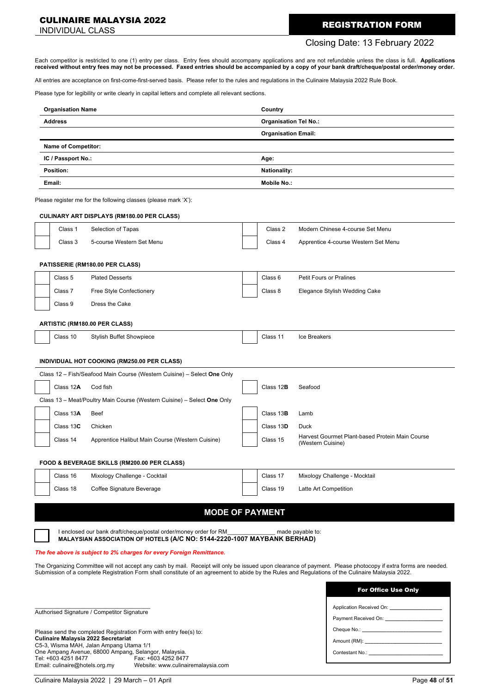#### CULINAIRE MALAYSIA 2022

# **CULINAIRE MALAYSIA 2022**<br>INDIVIDUAL CLASS

## Closing Date: 13 February 2022

Each competitor is restricted to one (1) entry per class. Entry fees should accompany applications and are not refundable unless the class is full. **Applications received without entry fees may not be processed. Faxed entries should be accompanied by a copy of your bank draft/cheque/postal order/money order.**

All entries are acceptance on first-come-first-served basis. Please refer to the rules and regulations in the Culinaire Malaysia 2022 Rule Book.

Please type for legibility or write clearly in capital letters and complete all relevant sections.

| <b>Organisation Name</b>                                          |                                                                                                                                                   |  | Country                      |                                                                                                                                                                                                                               |
|-------------------------------------------------------------------|---------------------------------------------------------------------------------------------------------------------------------------------------|--|------------------------------|-------------------------------------------------------------------------------------------------------------------------------------------------------------------------------------------------------------------------------|
| Address                                                           |                                                                                                                                                   |  | <b>Organisation Tel No.:</b> |                                                                                                                                                                                                                               |
|                                                                   |                                                                                                                                                   |  | <b>Organisation Email:</b>   |                                                                                                                                                                                                                               |
| <b>Name of Competitor:</b>                                        |                                                                                                                                                   |  |                              |                                                                                                                                                                                                                               |
| IC / Passport No.:                                                |                                                                                                                                                   |  | Age:                         |                                                                                                                                                                                                                               |
| Position:                                                         |                                                                                                                                                   |  | <b>Nationality:</b>          |                                                                                                                                                                                                                               |
| Email:                                                            |                                                                                                                                                   |  | <b>Mobile No.:</b>           |                                                                                                                                                                                                                               |
|                                                                   | Please register me for the following classes (please mark 'X'):                                                                                   |  |                              |                                                                                                                                                                                                                               |
|                                                                   | <b>CULINARY ART DISPLAYS (RM180.00 PER CLASS)</b>                                                                                                 |  | Class 2                      | Modern Chinese 4-course Set Menu                                                                                                                                                                                              |
| Class 1<br>Class 3                                                | Selection of Tapas<br>5-course Western Set Menu                                                                                                   |  | Class 4                      |                                                                                                                                                                                                                               |
|                                                                   |                                                                                                                                                   |  |                              | Apprentice 4-course Western Set Menu                                                                                                                                                                                          |
|                                                                   | PATISSERIE (RM180.00 PER CLASS)                                                                                                                   |  |                              |                                                                                                                                                                                                                               |
| Class <sub>5</sub>                                                | <b>Plated Desserts</b>                                                                                                                            |  | Class 6                      | <b>Petit Fours or Pralines</b>                                                                                                                                                                                                |
| Class 7                                                           | Free Style Confectionery                                                                                                                          |  | Class 8                      | Elegance Stylish Wedding Cake                                                                                                                                                                                                 |
| Class 9                                                           | Dress the Cake                                                                                                                                    |  |                              |                                                                                                                                                                                                                               |
|                                                                   | ARTISTIC (RM180.00 PER CLASS)                                                                                                                     |  |                              |                                                                                                                                                                                                                               |
| Class 10                                                          | <b>Stylish Buffet Showpiece</b>                                                                                                                   |  | Class 11                     | Ice Breakers                                                                                                                                                                                                                  |
|                                                                   |                                                                                                                                                   |  |                              |                                                                                                                                                                                                                               |
|                                                                   | INDIVIDUAL HOT COOKING (RM250.00 PER CLASS)                                                                                                       |  |                              |                                                                                                                                                                                                                               |
|                                                                   | Class 12 - Fish/Seafood Main Course (Western Cuisine) - Select One Only                                                                           |  |                              |                                                                                                                                                                                                                               |
| Class 12A                                                         | Cod fish                                                                                                                                          |  | Class 12B                    | Seafood                                                                                                                                                                                                                       |
|                                                                   | Class 13 - Meat/Poultry Main Course (Western Cuisine) - Select One Only                                                                           |  |                              |                                                                                                                                                                                                                               |
| Class 13A                                                         | Beef                                                                                                                                              |  | Class 13 <b>B</b>            | Lamb                                                                                                                                                                                                                          |
| Class 13C                                                         | Chicken                                                                                                                                           |  | Class 13D                    | Duck                                                                                                                                                                                                                          |
| Class 14                                                          | Apprentice Halibut Main Course (Western Cuisine)                                                                                                  |  | Class 15                     | Harvest Gourmet Plant-based Protein Main Course<br>(Western Cuisine)                                                                                                                                                          |
|                                                                   | FOOD & BEVERAGE SKILLS (RM200.00 PER CLASS)                                                                                                       |  |                              |                                                                                                                                                                                                                               |
| Class 16                                                          | Mixology Challenge - Cocktail                                                                                                                     |  | Class 17                     | Mixology Challenge - Mocktail                                                                                                                                                                                                 |
| Class 18                                                          | Coffee Signature Beverage                                                                                                                         |  | Class 19                     | Latte Art Competition                                                                                                                                                                                                         |
|                                                                   |                                                                                                                                                   |  |                              |                                                                                                                                                                                                                               |
|                                                                   | <b>MODE OF PAYMENT</b>                                                                                                                            |  |                              |                                                                                                                                                                                                                               |
|                                                                   | I enclosed our bank draft/cheque/postal order/money order for RM                                                                                  |  |                              | made payable to:                                                                                                                                                                                                              |
|                                                                   | MALAYSIAN ASSOCIATION OF HOTELS (A/C NO: 5144-2220-1007 MAYBANK BERHAD)                                                                           |  |                              |                                                                                                                                                                                                                               |
|                                                                   | The fee above is subject to 2% charges for every Foreign Remittance.                                                                              |  |                              |                                                                                                                                                                                                                               |
|                                                                   | Submission of a complete Registration Form shall constitute of an agreement to abide by the Rules and Regulations of the Culinaire Malaysia 2022. |  |                              | The Organizing Committee will not accept any cash by mail. Receipt will only be issued upon clearance of payment. Please photocopy if extra forms are needed.                                                                 |
|                                                                   |                                                                                                                                                   |  |                              |                                                                                                                                                                                                                               |
|                                                                   |                                                                                                                                                   |  |                              | <b>For Office Use Only</b>                                                                                                                                                                                                    |
|                                                                   | Authorised Signature / Competitor Signature                                                                                                       |  |                              | Application Received On: ____________________                                                                                                                                                                                 |
|                                                                   |                                                                                                                                                   |  |                              |                                                                                                                                                                                                                               |
| Please send the completed Registration Form with entry fee(s) to: |                                                                                                                                                   |  |                              |                                                                                                                                                                                                                               |
|                                                                   | <b>Culinaire Malaysia 2022 Secretariat</b><br>C5-3, Wisma MAH, Jalan Ampang Utama 1/1                                                             |  |                              |                                                                                                                                                                                                                               |
| Tel: +603 4251 8477<br>Email: culinaire@hotels.org.my             | One Ampang Avenue, 68000 Ampang, Selangor, Malaysia.<br>Fax: +603 4252 8477<br>Website: www.culinairemalaysia.com                                 |  |                              | Contestant No.: New York Street, No.: New York Street, No.: New York Street, No.: New York Street, New York Street, New York Street, New York Street, New York Street, New York Street, New York Street, New York Street, New |

Culinaire Malaysia 2022 | 29 March — 01 April Page **48** of **51**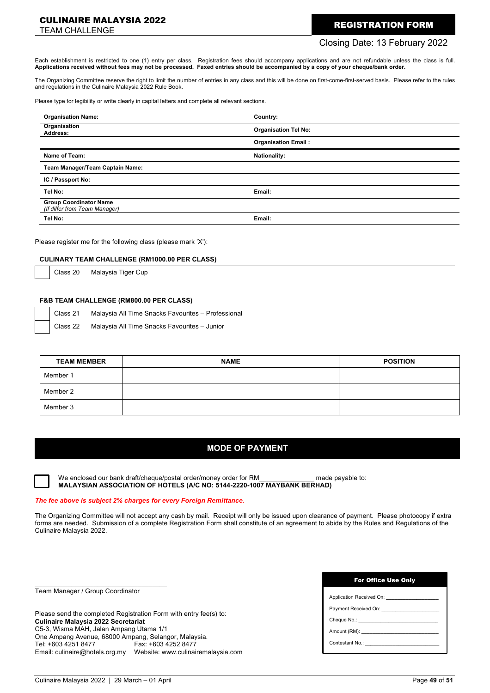#### CULINAIRE MALAYSIA 2022

# **CULINAIRE MALAYSIA 2022**<br>TEAM CHALLENGE

#### Closing Date: 13 February 2022

Each establishment is restricted to one (1) entry per class. Registration fees should accompany applications and are not refundable unless the class is full. **Applications received without fees may not be processed. Faxed entries should be accompanied by a copy of your cheque/bank order.**

The Organizing Committee reserve the right to limit the number of entries in any class and this will be done on first-come-first-served basis. Please refer to the rules and regulations in the Culinaire Malaysia 2022 Rule Book.

Please type for legibility or write clearly in capital letters and complete all relevant sections.

| <b>Organisation Name:</b>                                      | Country:                    |
|----------------------------------------------------------------|-----------------------------|
| Organisation<br>Address:                                       | <b>Organisation Tel No:</b> |
|                                                                | <b>Organisation Email:</b>  |
| Name of Team:                                                  | <b>Nationality:</b>         |
| Team Manager/Team Captain Name:                                |                             |
| IC / Passport No:                                              |                             |
| Tel No:                                                        | Email:                      |
| <b>Group Coordinator Name</b><br>(If differ from Team Manager) |                             |
| Tel No:                                                        | Email:                      |

Please register me for the following class (please mark 'X'):

#### **CULINARY TEAM CHALLENGE (RM1000.00 PER CLASS)**

Class 20 Malaysia Tiger Cup

#### **F&B TEAM CHALLENGE (RM800.00 PER CLASS)**

Class 21 Malaysia All Time Snacks Favourites — Professional

Class 22 Malaysia All Time Snacks Favourites — Junior

| <b>TEAM MEMBER</b> | <b>NAME</b> | <b>POSITION</b> |
|--------------------|-------------|-----------------|
| Member 1           |             |                 |
| Member 2           |             |                 |
| Member 3           |             |                 |

## **MODE OF PAYMENT**

We enclosed our bank draft/cheque/postal order/money order for RM\_\_\_\_\_\_\_\_\_\_\_\_\_\_ made payable to: **MALAYSIAN ASSOCIATION OF HOTELS (A/C NO: 5144-2220-1007 MAYBANK BERHAD)**

#### *The fee above is subject 2% charges for every Foreign Remittance.*

The Organizing Committee will not accept any cash by mail. Receipt will only be issued upon clearance of payment. Please photocopy if extra forms are needed. Submission of a complete Registration Form shall constitute of an agreement to abide by the Rules and Regulations of the Culinaire Malaysia 2022.

Team Manager / Group Coordinator

\_\_\_\_\_\_\_\_\_\_\_\_\_\_\_\_\_\_\_\_\_\_\_\_\_\_\_\_\_\_\_\_\_\_\_\_

Please send the completed Registration Form with entry fee(s) to: **Culinaire Malaysia 2022 Secretariat** C5-3, Wisma MAH, Jalan Ampang Utama 1/1 One Ampang Avenue, 68000 Ampang, Selangor, Malaysia. Fax: +603 4252 8477 Email: culinaire@hotels.org.my Website: www.culinairemalaysia.com

| <b>For Office Use Only</b> |  |  |
|----------------------------|--|--|
|                            |  |  |

| Payment Received On: Next State Control of the State Control of the State Control of the State Control of the State Control of the State Control of the State Control of the State Control of the State Control of the State C |  |
|--------------------------------------------------------------------------------------------------------------------------------------------------------------------------------------------------------------------------------|--|
|                                                                                                                                                                                                                                |  |
| Amount (RM): New York Contract of the Contract of the Contract of the Contract of the Contract of the Contract of the Contract of the Contract of the Contract of the Contract of the Contract of the Contract of the Contract |  |
| Contestant No.:                                                                                                                                                                                                                |  |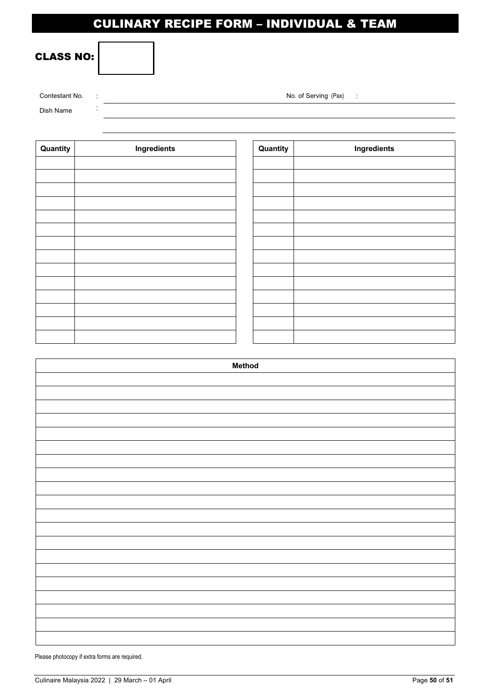# CULINARY RECIPE FORM – INDIVIDUAL & TEAM

# CLASS NO:

| Contestant No. | No. of Serving (Pax) |
|----------------|----------------------|
| Dish Name      |                      |

| Quantity | Ingredients | Quantity | Ingredients |
|----------|-------------|----------|-------------|
|          |             |          |             |
|          |             |          |             |
|          |             |          |             |
|          |             |          |             |
|          |             |          |             |
|          |             |          |             |
|          |             |          |             |
|          |             |          |             |
|          |             |          |             |
|          |             |          |             |
|          |             |          |             |
|          |             |          |             |
|          |             |          |             |
|          |             |          |             |

| <b>Method</b> |
|---------------|
|               |
|               |
|               |
|               |
|               |
|               |
|               |
|               |
|               |
|               |
|               |
|               |
|               |
|               |
|               |
|               |
|               |
|               |
|               |
|               |

Please photocopy if extra forms are required.